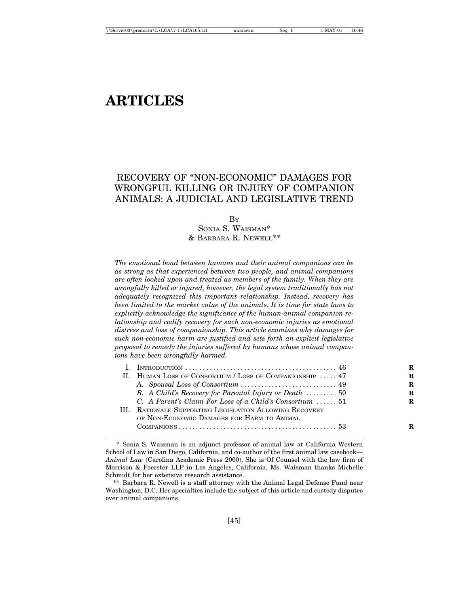# **ARTICLES**

# RECOVERY OF "NON-ECONOMIC" DAMAGES FOR WRONGFUL KILLING OR INJURY OF COMPANION ANIMALS: A JUDICIAL AND LEGISLATIVE TREND

BY

SONIA S. WAISMAN\* & BARBARA R. NEWELL\*\*

*The emotional bond between humans and their animal companions can be as strong as that experienced between two people, and animal companions are often looked upon and treated as members of the family. When they are wrongfully killed or injured, however, the legal system traditionally has not adequately recognized this important relationship. Instead, recovery has been limited to the market value of the animals. It is time for state laws to explicitly acknowledge the significance of the human-animal companion relationship and codify recovery for such non-economic injuries as emotional distress and loss of companionship. This article examines why damages for such non-economic harm are justified and sets forth an explicit legislative proposal to remedy the injuries suffered by humans whose animal companions have been wrongfully harmed.*

| II. HUMAN LOSS OF CONSORTIUM / LOSS OF COMPANIONSHIP  47 | R |
|----------------------------------------------------------|---|
|                                                          | R |
| B. A Child's Recovery for Parental Injury or Death  50   | R |
| C. A Parent's Claim For Loss of a Child's Consortium  51 | R |
| III. RATIONALE SUPPORTING LEGISLATION ALLOWING RECOVERY  |   |
| OF NON-ECONOMIC DAMAGES FOR HARM TO ANIMAL               |   |
|                                                          |   |
|                                                          |   |

<sup>\*</sup> Sonia S. Waisman is an adjunct professor of animal law at California Western School of Law in San Diego, California, and co-author of the first animal law casebook— *Animal Law* (Carolina Academic Press 2000). She is Of Counsel with the law firm of Morrison & Foerster LLP in Los Angeles, California. Ms. Waisman thanks Michelle Schmidt for her extensive research assistance.

<sup>\*\*</sup> Barbara R. Newell is a staff attorney with the Animal Legal Defense Fund near Washington, D.C. Her specialties include the subject of this article and custody disputes over animal companions.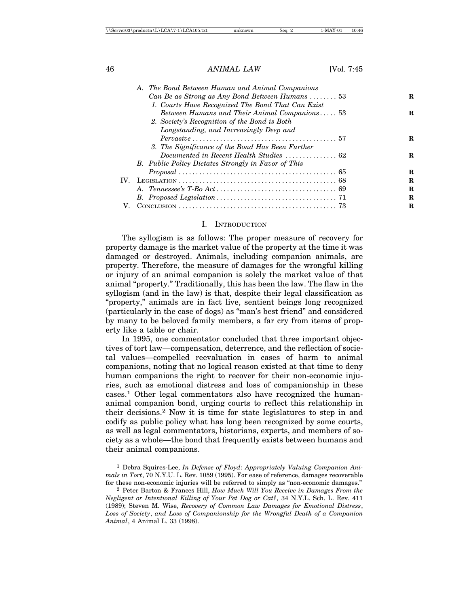|             | A. The Bond Between Human and Animal Companions                                        |   |
|-------------|----------------------------------------------------------------------------------------|---|
|             | Can Be as Strong as Any Bond Between Humans  53                                        | R |
|             | 1. Courts Have Recognized The Bond That Can Exist                                      |   |
|             | Between Humans and Their Animal Companions 53                                          | R |
|             | 2. Society's Recognition of the Bond is Both                                           |   |
|             | Longstanding, and Increasingly Deep and                                                |   |
|             | $Pervasive \ldots, \ldots, \ldots, \ldots, \ldots, \ldots, \ldots, \ldots, \ldots, 57$ | R |
|             | 3. The Significance of the Bond Has Been Further                                       |   |
|             |                                                                                        | R |
|             | B. Public Policy Dictates Strongly in Favor of This                                    |   |
|             |                                                                                        | R |
|             |                                                                                        | R |
|             |                                                                                        | R |
|             |                                                                                        | R |
| $V_{\cdot}$ |                                                                                        | R |
|             |                                                                                        |   |

#### I. INTRODUCTION

The syllogism is as follows: The proper measure of recovery for property damage is the market value of the property at the time it was damaged or destroyed. Animals, including companion animals, are property. Therefore, the measure of damages for the wrongful killing or injury of an animal companion is solely the market value of that animal "property." Traditionally, this has been the law. The flaw in the syllogism (and in the law) is that, despite their legal classification as "property," animals are in fact live, sentient beings long recognized (particularly in the case of dogs) as "man's best friend" and considered by many to be beloved family members, a far cry from items of property like a table or chair.

In 1995, one commentator concluded that three important objectives of tort law—compensation, deterrence, and the reflection of societal values—compelled reevaluation in cases of harm to animal companions, noting that no logical reason existed at that time to deny human companions the right to recover for their non-economic injuries, such as emotional distress and loss of companionship in these cases.1 Other legal commentators also have recognized the humananimal companion bond, urging courts to reflect this relationship in their decisions.2 Now it is time for state legislatures to step in and codify as public policy what has long been recognized by some courts, as well as legal commentators, historians, experts, and members of society as a whole—the bond that frequently exists between humans and their animal companions.

<sup>1</sup> Debra Squires-Lee, *In Defense of Floyd*: *Appropriately Valuing Companion Animals in Tort*, 70 N.Y.U. L. Rev. 1059 (1995). For ease of reference, damages recoverable for these non-economic injuries will be referred to simply as "non-economic damages."

<sup>2</sup> Peter Barton & Frances Hill, *How Much Will You Receive in Damages From the Negligent or Intentional Killing of Your Pet Dog or Cat?*, 34 N.Y.L. Sch. L. Rev. 411 (1989); Steven M. Wise, *Recovery of Common Law Damages for Emotional Distress*, *Loss of Society*, *and Loss of Companionship for the Wrongful Death of a Companion Animal*, 4 Animal L. 33 (1998).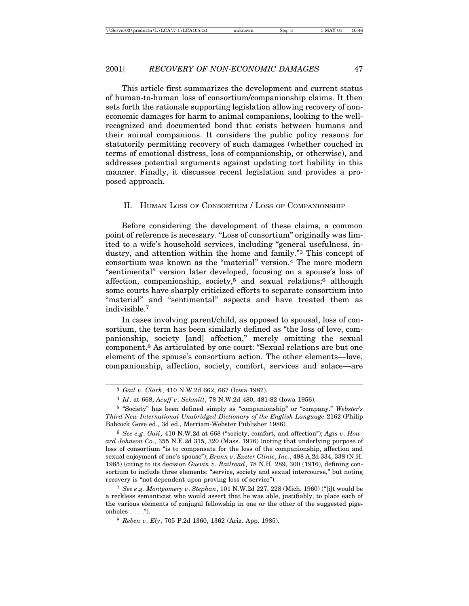This article first summarizes the development and current status of human-to-human loss of consortium/companionship claims. It then sets forth the rationale supporting legislation allowing recovery of noneconomic damages for harm to animal companions, looking to the wellrecognized and documented bond that exists between humans and their animal companions. It considers the public policy reasons for statutorily permitting recovery of such damages (whether couched in terms of emotional distress, loss of companionship, or otherwise), and addresses potential arguments against updating tort liability in this manner. Finally, it discusses recent legislation and provides a proposed approach.

#### II. HUMAN LOSS OF CONSORTIUM / LOSS OF COMPANIONSHIP

Before considering the development of these claims, a common point of reference is necessary. "Loss of consortium" originally was limited to a wife's household services, including "general usefulness, industry, and attention within the home and family."3 This concept of consortium was known as the "material" version.4 The more modern "sentimental" version later developed, focusing on a spouse's loss of affection, companionship, society,5 and sexual relations;6 although some courts have sharply criticized efforts to separate consortium into "material" and "sentimental" aspects and have treated them as indivisible.7

In cases involving parent/child, as opposed to spousal, loss of consortium, the term has been similarly defined as "the loss of love, companionship, society [and] affection," merely omitting the sexual component.8 As articulated by one court: "Sexual relations are but one element of the spouse's consortium action. The other elements—love, companionship, affection, society, comfort, services and solace—are

7 *See e*.*g*. *Montgomery v*. *Stephan*, 101 N.W.2d 227, 228 (Mich. 1960) ("[i]t would be a reckless semanticist who would assert that he was able, justifiably, to place each of the various elements of conjugal fellowship in one or the other of the suggested pigeonholes  $\ldots$ .").

<sup>3</sup> *Gail v*. *Clark*, 410 N.W.2d 662, 667 (Iowa 1987).

<sup>4</sup> *Id*. at 668; *Acuff v*. *Schmitt*, 78 N.W.2d 480, 481-82 (Iowa 1956).

<sup>5</sup> "Society" has been defined simply as "companionship" or "company." *Webster's Third New International Unabridged Dictionary of the English Language* 2162 (Philip Babcock Gove ed., 3d ed., Merriam-Webster Publisher 1986).

<sup>6</sup> *See e*.*g*. *Gail*, 410 N.W.2d at 668 ("society, comfort, and affection"); *Agis v*. *Howard Johnson Co*., 355 N.E.2d 315, 320 (Mass. 1976) (noting that underlying purpose of loss of consortium "is to compensate for the loss of the companionship, affection and sexual enjoyment of one's spouse"); *Brann v*. *Exeter Clinic*, *Inc*., 498 A.2d 334, 338 (N.H. 1985) (citing to its decision *Guevin v*. *Railroad*, 78 N.H. 289, 300 (1916), defining consortium to include three elements: "service, society and sexual intercourse," but noting recovery is "not dependent upon proving loss of service").

<sup>8</sup> *Reben v*. *Ely*, 705 P.2d 1360, 1362 (Ariz. App. 1985).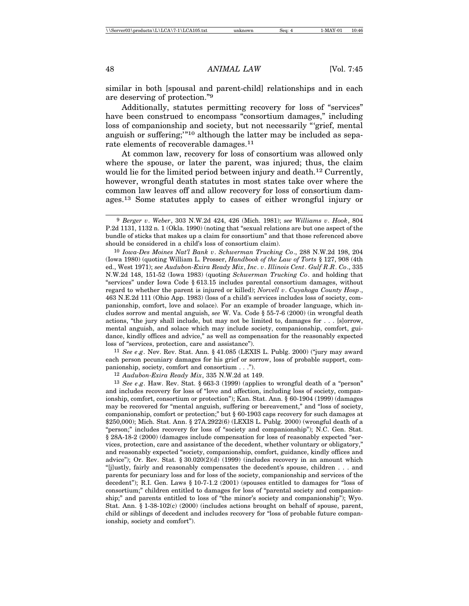similar in both [spousal and parent-child] relationships and in each are deserving of protection."9

Additionally, statutes permitting recovery for loss of "services" have been construed to encompass "consortium damages," including loss of companionship and society, but not necessarily "'grief, mental anguish or suffering;'"10 although the latter may be included as separate elements of recoverable damages.11

At common law, recovery for loss of consortium was allowed only where the spouse, or later the parent, was injured; thus, the claim would lie for the limited period between injury and death.<sup>12</sup> Currently, however, wrongful death statutes in most states take over where the common law leaves off and allow recovery for loss of consortium damages.13 Some statutes apply to cases of either wrongful injury or

11 *See e*.*g*. Nev. Rev. Stat. Ann. § 41.085 (LEXIS L. Publg. 2000) ("jury may award each person pecuniary damages for his grief or sorrow, loss of probable support, companionship, society, comfort and consortium . . .").

12 *Audubon-Exira Ready Mix*, 335 N.W.2d at 149.

13 *See e*.*g*. Haw. Rev. Stat. § 663-3 (1999) (applies to wrongful death of a "person" and includes recovery for loss of "love and affection, including loss of society, companionship, comfort, consortium or protection"); Kan. Stat. Ann. § 60-1904 (1999) (damages may be recovered for "mental anguish, suffering or bereavement," and "loss of society, companionship, comfort or protection;" but § 60-1903 caps recovery for such damages at \$250,000); Mich. Stat. Ann. § 27A.2922(6) (LEXIS L. Publg. 2000) (wrongful death of a "person;" includes recovery for loss of "society and companionship"); N.C. Gen. Stat. § 28A-18-2 (2000) (damages include compensation for loss of reasonably expected "services, protection, care and assistance of the decedent, whether voluntary or obligatory," and reasonably expected "society, companionship, comfort, guidance, kindly offices and advice"); Or. Rev. Stat.  $\S 30.020(2)(d)$  (1999) (includes recovery in an amount which "[j]ustly, fairly and reasonably compensates the decedent's spouse, children . . . and parents for pecuniary loss and for loss of the society, companionship and services of the decedent"); R.I. Gen. Laws § 10-7-1.2 (2001) (spouses entitled to damages for "loss of consortium;" children entitled to damages for loss of "parental society and companionship;" and parents entitled to loss of "the minor's society and companionship"); Wyo. Stat. Ann. § 1-38-102(c) (2000) (includes actions brought on behalf of spouse, parent, child or siblings of decedent and includes recovery for "loss of probable future companionship, society and comfort").

<sup>9</sup> *Berger v*. *Weber*, 303 N.W.2d 424, 426 (Mich. 1981); *see Williams v*. *Hook*, 804 P.2d 1131, 1132 n. 1 (Okla. 1990) (noting that "sexual relations are but one aspect of the bundle of sticks that makes up a claim for consortium" and that those referenced above should be considered in a child's loss of consortium claim).

<sup>10</sup> *Iowa-Des Moines Nat'l Bank v*. *Schwerman Trucking Co*., 288 N.W.2d 198, 204 (Iowa 1980) (quoting William L. Prosser, *Handbook of the Law of Torts* § 127, 908 (4th ed., West 1971); *see Audubon-Exira Ready Mix*, *Inc*. *v*. *Illinois Cent*. *Gulf R*.*R*. *Co*., 335 N.W.2d 148, 151-52 (Iowa 1983) (quoting *Schwerman Trucking Co*. and holding that "services" under Iowa Code § 613.15 includes parental consortium damages, without regard to whether the parent is injured or killed); *Norvell v*. *Cuyahoga County Hosp*., 463 N.E.2d 111 (Ohio App. 1983) (loss of a child's services includes loss of society, companionship, comfort, love and solace). For an example of broader language, which includes sorrow and mental anguish, *see* W. Va. Code § 55-7-6 (2000) (in wrongful death actions, "the jury shall include, but may not be limited to, damages for . . . [s]orrow, mental anguish, and solace which may include society, companionship, comfort, guidance, kindly offices and advice," as well as compensation for the reasonably expected loss of "services, protection, care and assistance").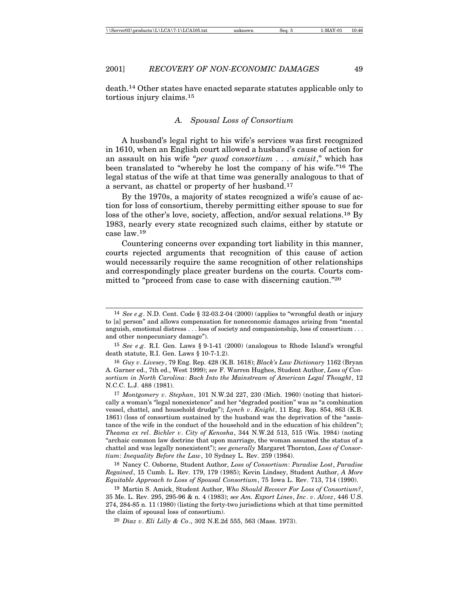death.14 Other states have enacted separate statutes applicable only to tortious injury claims.<sup>15</sup>

#### *A. Spousal Loss of Consortium*

A husband's legal right to his wife's services was first recognized in 1610, when an English court allowed a husband's cause of action for an assault on his wife "*per quod consortium . . . amisit*," which has been translated to "whereby he lost the company of his wife."16 The legal status of the wife at that time was generally analogous to that of a servant, as chattel or property of her husband.<sup>17</sup>

By the 1970s, a majority of states recognized a wife's cause of action for loss of consortium, thereby permitting either spouse to sue for loss of the other's love, society, affection, and/or sexual relations.18 By 1983, nearly every state recognized such claims, either by statute or case law.<sup>19</sup>

Countering concerns over expanding tort liability in this manner, courts rejected arguments that recognition of this cause of action would necessarily require the same recognition of other relationships and correspondingly place greater burdens on the courts. Courts committed to "proceed from case to case with discerning caution."<sup>20</sup>

18 Nancy C. Osborne, Student Author, *Loss of Consortium*: *Paradise Lost*, *Paradise Regained*, 15 Cumb. L. Rev. 179, 179 (1985); Kevin Lindsey, Student Author, *A More Equitable Approach to Loss of Spousal Consortium*, 75 Iowa L. Rev. 713, 714 (1990).

19 Martin S. Amick, Student Author, *Who Should Recover For Loss of Consortium?*, 35 Me. L. Rev. 295, 295-96 & n. 4 (1983); *see Am. Export Lines*, *Inc*. *v*. *Alvez*, 446 U.S. 274, 284-85 n. 11 (1980) (listing the forty-two jurisdictions which at that time permitted the claim of spousal loss of consortium).

20 *Diaz v*. *Eli Lilly & Co*., 302 N.E.2d 555, 563 (Mass. 1973).

<sup>14</sup> *See e*.*g*. N.D. Cent. Code § 32-03.2-04 (2000) (applies to "wrongful death or injury to [a] person" and allows compensation for noneconomic damages arising from "mental anguish, emotional distress . . . loss of society and companionship, loss of consortium . . . and other nonpecuniary damage").

<sup>15</sup> *See e*.*g*. R.I. Gen. Laws § 9-1-41 (2000) (analogous to Rhode Island's wrongful death statute, R.I. Gen. Laws § 10-7-1.2).

<sup>16</sup> *Guy v*. *Livesey*, 79 Eng. Rep. 428 (K.B. 1618); *Black's Law Dictionary* 1162 (Bryan A. Garner ed., 7th ed., West 1999); *see* F. Warren Hughes, Student Author, *Loss of Consortium in North Carolina*: *Back Into the Mainstream of American Legal Thought*, 12 N.C.C. L.J. 488 (1981).

<sup>17</sup> *Montgomery v*. *Stephan*, 101 N.W.2d 227, 230 (Mich. 1960) (noting that historically a woman's "legal nonexistence" and her "degraded position" was as "a combination vessel, chattel, and household drudge"); *Lynch v*. *Knight*, 11 Eng. Rep. 854, 863 (K.B. 1861) (loss of consortium sustained by the husband was the deprivation of the "assistance of the wife in the conduct of the household and in the education of his children"); *Theama ex rel*. *Bichler v*. *City of Kenosha*, 344 N.W.2d 513, 515 (Wis. 1984) (noting "archaic common law doctrine that upon marriage, the woman assumed the status of a chattel and was legally nonexistent"); *see generally* Margaret Thornton, *Loss of Consortium*: *Inequality Before the Law*, 10 Sydney L. Rev. 259 (1984).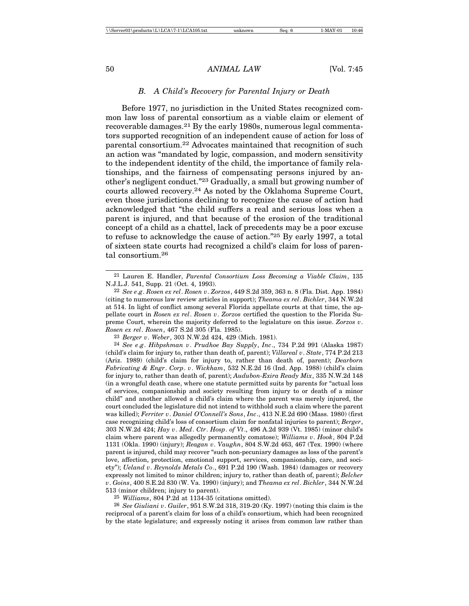#### *B. A Child's Recovery for Parental Injury or Death*

Before 1977, no jurisdiction in the United States recognized common law loss of parental consortium as a viable claim or element of recoverable damages.21 By the early 1980s, numerous legal commentators supported recognition of an independent cause of action for loss of parental consortium.22 Advocates maintained that recognition of such an action was "mandated by logic, compassion, and modern sensitivity to the independent identity of the child, the importance of family relationships, and the fairness of compensating persons injured by another's negligent conduct."23 Gradually, a small but growing number of courts allowed recovery.24 As noted by the Oklahoma Supreme Court, even those jurisdictions declining to recognize the cause of action had acknowledged that "the child suffers a real and serious loss when a parent is injured, and that because of the erosion of the traditional concept of a child as a chattel, lack of precedents may be a poor excuse to refuse to acknowledge the cause of action."25 By early 1997, a total of sixteen state courts had recognized a child's claim for loss of parental consortium.<sup>26</sup>

25 *Williams*, 804 P.2d at 1134-35 (citations omitted).

26 *See Giuliani v*. *Guiler*, 951 S.W.2d 318, 319-20 (Ky. 1997) (noting this claim is the reciprocal of a parent's claim for loss of a child's consortium, which had been recognized by the state legislature; and expressly noting it arises from common law rather than

<sup>21</sup> Lauren E. Handler, *Parental Consortium Loss Becoming a Viable Claim*, 135 N.J.L.J. 541, Supp. 21 (Oct. 4, 1993).

<sup>22</sup> *See e*.*g*. *Rosen ex rel*. *Rosen v*. *Zorzos*, 449 S.2d 359, 363 n. 8 (Fla. Dist. App. 1984) (citing to numerous law review articles in support); *Theama ex rel*. *Bichler*, 344 N.W.2d at 514. In light of conflict among several Florida appellate courts at that time, the appellate court in *Rosen ex rel*. *Rosen v*. *Zorzos* certified the question to the Florida Supreme Court, wherein the majority deferred to the legislature on this issue. *Zorzos v*. *Rosen ex rel*. *Rosen*, 467 S.2d 305 (Fla. 1985).

<sup>23</sup> *Berger v*. *Weber*, 303 N.W.2d 424, 429 (Mich. 1981).

<sup>24</sup> *See e*.*g*. *Hibpshman v*. *Prudhoe Bay Supply*, *Inc*., 734 P.2d 991 (Alaska 1987) (child's claim for injury to, rather than death of, parent); *Villareal v*. *State*, 774 P.2d 213 (Ariz. 1989) (child's claim for injury to, rather than death of, parent); *Dearborn Fabricating & Engr*. *Corp*. *v*. *Wickham*, 532 N.E.2d 16 (Ind. App. 1988) (child's claim for injury to, rather than death of, parent); *Audubon-Exira Ready Mix*, 335 N.W.2d 148 (in a wrongful death case, where one statute permitted suits by parents for "actual loss of services, companionship and society resulting from injury to or death of a minor child" and another allowed a child's claim where the parent was merely injured, the court concluded the legislature did not intend to withhold such a claim where the parent was killed); *Ferriter v*. *Daniel O'Connell's Sons*, *Inc*., 413 N.E.2d 690 (Mass. 1980) (first case recognizing child's loss of consortium claim for nonfatal injuries to parent); *Berger*, 303 N.W.2d 424; *Hay v*. *Med*. *Ctr*. *Hosp*. *of Vt*., 496 A.2d 939 (Vt. 1985) (minor child's claim where parent was allegedly permanently comatose); *Williams v*. *Hook*, 804 P.2d 1131 (Okla. 1990) (injury); *Reagan v*. *Vaughn*, 804 S.W.2d 463, 467 (Tex. 1990) (where parent is injured, child may recover "such non-pecuniary damages as loss of the parent's love, affection, protection, emotional support, services, companionship, care, and society"); *Ueland v*. *Reynolds Metals Co*., 691 P.2d 190 (Wash. 1984) (damages or recovery expressly not limited to minor children; injury to, rather than death of, parent); *Belcher v*. *Goins*, 400 S.E.2d 830 (W. Va. 1990) (injury); and *Theama ex rel*. *Bichler*, 344 N.W.2d 513 (minor children; injury to parent).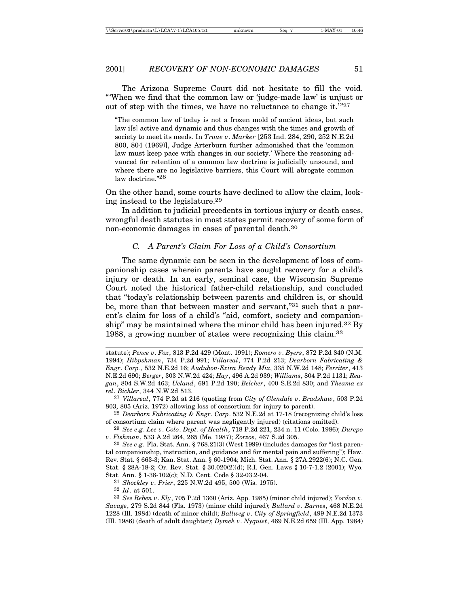The Arizona Supreme Court did not hesitate to fill the void. "'When we find that the common law or 'judge-made law' is unjust or out of step with the times, we have no reluctance to change it.'"<sup>27</sup>

"The common law of today is not a frozen mold of ancient ideas, but such law i[s] active and dynamic and thus changes with the times and growth of society to meet its needs. In *Troue v*. *Marker* [253 Ind. 284, 290, 252 N.E.2d 800, 804 (1969)], Judge Arterburn further admonished that the 'common law must keep pace with changes in our society.' Where the reasoning advanced for retention of a common law doctrine is judicially unsound, and where there are no legislative barriers, this Court will abrogate common law doctrine."28

On the other hand, some courts have declined to allow the claim, looking instead to the legislature.29

In addition to judicial precedents in tortious injury or death cases, wrongful death statutes in most states permit recovery of some form of non-economic damages in cases of parental death.30

#### *C. A Parent's Claim For Loss of a Child's Consortium*

The same dynamic can be seen in the development of loss of companionship cases wherein parents have sought recovery for a child's injury or death. In an early, seminal case, the Wisconsin Supreme Court noted the historical father-child relationship, and concluded that "today's relationship between parents and children is, or should be, more than that between master and servant,"<sup>31</sup> such that a parent's claim for loss of a child's "aid, comfort, society and companionship" may be maintained where the minor child has been injured.<sup>32</sup> By 1988, a growing number of states were recognizing this claim.<sup>33</sup>

28 *Dearborn Fabricating & Engr*. *Corp*. 532 N.E.2d at 17-18 (recognizing child's loss of consortium claim where parent was negligently injured) (citations omitted).

29 *See e*.*g*. *Lee v*. *Colo*. *Dept*. *of Health*, 718 P.2d 221, 234 n. 11 (Colo. 1986); *Durepo v*. *Fishman*, 533 A.2d 264, 265 (Me. 1987); *Zorzos*, 467 S.2d 305.

30 *See e*.*g*. Fla. Stat. Ann. § 768.21(3) (West 1999) (includes damages for "lost parental companionship, instruction, and guidance and for mental pain and suffering"); Haw. Rev. Stat. § 663-3; Kan. Stat. Ann. § 60-1904; Mich. Stat. Ann. § 27A.2922(6); N.C. Gen. Stat. § 28A-18-2; Or. Rev. Stat. § 30.020(2)(d); R.I. Gen. Laws § 10-7-1.2 (2001); Wyo. Stat. Ann. § 1-38-102(c); N.D. Cent. Code § 32-03.2-04.

31 *Shockley v*. *Prier*, 225 N.W.2d 495, 500 (Wis. 1975).

32 *Id*. at 501.

statute); *Pence v*. *Fox*, 813 P.2d 429 (Mont. 1991); *Romero v*. *Byers*, 872 P.2d 840 (N.M. 1994); *Hibpshman*, 734 P.2d 991; *Villareal*, 774 P.2d 213; *Dearborn Fabricating & Engr*. *Corp*., 532 N.E.2d 16; *Audubon-Exira Ready Mix*, 335 N.W.2d 148; *Ferriter*, 413 N.E.2d 690; *Berger*, 303 N.W.2d 424; *Hay*, 496 A.2d 939; *Williams*, 804 P.2d 1131; *Reagan*, 804 S.W.2d 463; *Ueland*, 691 P.2d 190; *Belcher*, 400 S.E.2d 830; and *Theama ex rel*. *Bichler*, 344 N.W.2d 513.

<sup>27</sup> *Villareal*, 774 P.2d at 216 (quoting from *City of Glendale v*. *Bradshaw*, 503 P.2d 803, 805 (Ariz. 1972) allowing loss of consortium for injury to parent).

<sup>33</sup> *See Reben v*. *Ely*, 705 P.2d 1360 (Ariz. App. 1985) (minor child injured); *Yordon v*. *Savage*, 279 S.2d 844 (Fla. 1973) (minor child injured); *Bullard v*. *Barnes*, 468 N.E.2d 1228 (Ill. 1984) (death of minor child); *Ballweg v*. *City of Springfield*, 499 N.E.2d 1373 (Ill. 1986) (death of adult daughter); *Dymek v*. *Nyquist*, 469 N.E.2d 659 (Ill. App. 1984)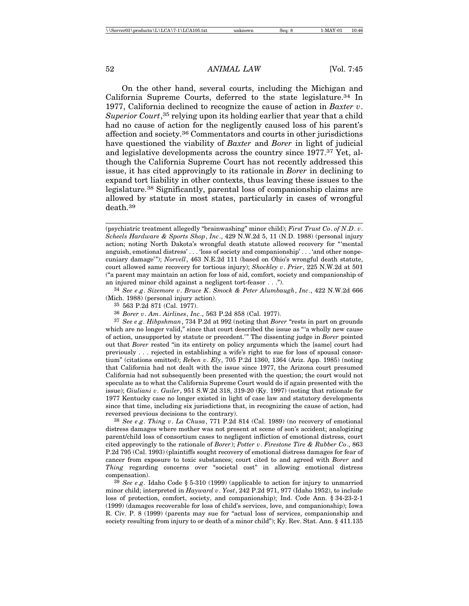On the other hand, several courts, including the Michigan and California Supreme Courts, deferred to the state legislature.<sup>34</sup> In 1977, California declined to recognize the cause of action in *Baxter v*. Superior Court,<sup>35</sup> relying upon its holding earlier that year that a child had no cause of action for the negligently caused loss of his parent's affection and society.36 Commentators and courts in other jurisdictions have questioned the viability of *Baxter* and *Borer* in light of judicial and legislative developments across the country since 1977.37 Yet, although the California Supreme Court has not recently addressed this issue, it has cited approvingly to its rationale in *Borer* in declining to expand tort liability in other contexts, thus leaving these issues to the legislature.38 Significantly, parental loss of companionship claims are allowed by statute in most states, particularly in cases of wrongful death.39

34 *See e*.*g*. *Sizemore v*. *Bruce K*. *Smock & Peter Alumbaugh*, *Inc*., 422 N.W.2d 666 (Mich. 1988) (personal injury action).

35 563 P.2d 871 (Cal. 1977).

36 *Borer v*. *Am*. *Airlines*, *Inc*., 563 P.2d 858 (Cal. 1977).

37 *See e*.*g*. *Hibpshman*, 734 P.2d at 992 (noting that *Borer* "rests in part on grounds which are no longer valid," since that court described the issue as "'a wholly new cause of action, unsupported by statute or precedent.'" The dissenting judge in *Borer* pointed out that *Borer* rested "in its entirety on policy arguments which the [same] court had previously . . . rejected in establishing a wife's right to sue for loss of spousal consortium" (citations omitted); *Reben v*. *Ely*, 705 P.2d 1360, 1364 (Ariz. App. 1985) (noting that California had not dealt with the issue since 1977, the Arizona court presumed California had not subsequently been presented with the question; the court would not speculate as to what the California Supreme Court would do if again presented with the issue); *Giuliani v*. *Guiler*, 951 S.W.2d 318, 319-20 (Ky. 1997) (noting that rationale for 1977 Kentucky case no longer existed in light of case law and statutory developments since that time, including six jurisdictions that, in recognizing the cause of action, had reversed previous decisions to the contrary).

38 *See e*.*g*. *Thing v*. *La Chusa*, 771 P.2d 814 (Cal. 1989) (no recovery of emotional distress damages where mother was not present at scene of son's accident; analogizing parent/child loss of consortium cases to negligent infliction of emotional distress, court cited approvingly to the rationale of *Borer*); *Potter v*. *Firestone Tire & Rubber Co*., 863 P.2d 795 (Cal. 1993) (plaintiffs sought recovery of emotional distress damages for fear of cancer from exposure to toxic substances; court cited to and agreed with *Borer* and *Thing* regarding concerns over "societal cost" in allowing emotional distress compensation).

39 *See e*.*g*. Idaho Code § 5-310 (1999) (applicable to action for injury to unmarried minor child; interpreted in *Hayward v*. *Yost*, 242 P.2d 971, 977 (Idaho 1952), to include loss of protection, comfort, society, and companionship); Ind. Code Ann. § 34-23-2-1 (1999) (damages recoverable for loss of child's services, love, and companionship); Iowa R. Civ. P. 8 (1999) (parents may sue for "actual loss of services, companionship and society resulting from injury to or death of a minor child"); Ky. Rev. Stat. Ann. § 411.135

<sup>(</sup>psychiatric treatment allegedly "brainwashing" minor child); *First Trust Co*. *of N*.*D*. *v*. *Scheels Hardware & Sports Shop*, *Inc*., 429 N.W.2d 5, 11 (N.D. 1988) (personal injury action; noting North Dakota's wrongful death statute allowed recovery for "'mental anguish, emotional distress' . . . 'loss of society and companionship' . . . 'and other nonpecuniary damage'"); *Norvell*, 463 N.E.2d 111 (based on Ohio's wrongful death statute, court allowed same recovery for tortious injury); *Shockley v*. *Prier*, 225 N.W.2d at 501 ("a parent may maintain an action for loss of aid, comfort, society and companionship of an injured minor child against a negligent tort-feasor . . .").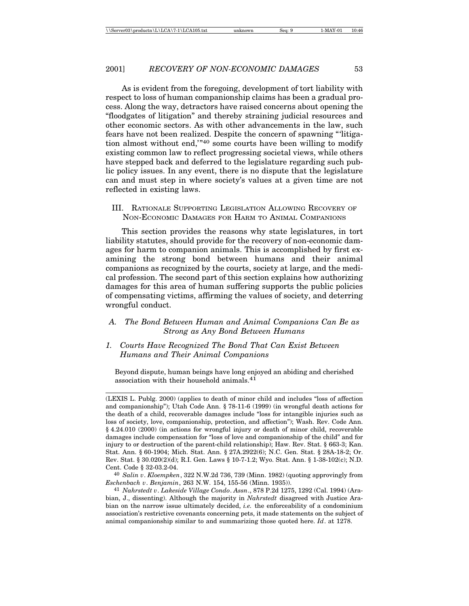As is evident from the foregoing, development of tort liability with respect to loss of human companionship claims has been a gradual process. Along the way, detractors have raised concerns about opening the "floodgates of litigation" and thereby straining judicial resources and other economic sectors. As with other advancements in the law, such fears have not been realized. Despite the concern of spawning "'litigation almost without end,'"40 some courts have been willing to modify existing common law to reflect progressing societal views, while others have stepped back and deferred to the legislature regarding such public policy issues. In any event, there is no dispute that the legislature can and must step in where society's values at a given time are not reflected in existing laws.

III. RATIONALE SUPPORTING LEGISLATION ALLOWING RECOVERY OF NON-ECONOMIC DAMAGES FOR HARM TO ANIMAL COMPANIONS

This section provides the reasons why state legislatures, in tort liability statutes, should provide for the recovery of non-economic damages for harm to companion animals. This is accomplished by first examining the strong bond between humans and their animal companions as recognized by the courts, society at large, and the medical profession. The second part of this section explains how authorizing damages for this area of human suffering supports the public policies of compensating victims, affirming the values of society, and deterring wrongful conduct.

#### *A. The Bond Between Human and Animal Companions Can Be as Strong as Any Bond Between Humans*

### *1. Courts Have Recognized The Bond That Can Exist Between Humans and Their Animal Companions*

Beyond dispute, human beings have long enjoyed an abiding and cherished association with their household animals.41

<sup>(</sup>LEXIS L. Publg. 2000) (applies to death of minor child and includes "loss of affection and companionship"); Utah Code Ann. § 78-11-6 (1999) (in wrongful death actions for the death of a child, recoverable damages include "loss for intangible injuries such as loss of society, love, companionship, protection, and affection"); Wash. Rev. Code Ann. § 4.24.010 (2000) (in actions for wrongful injury or death of minor child, recoverable damages include compensation for "loss of love and companionship of the child" and for injury to or destruction of the parent-child relationship); Haw. Rev. Stat. § 663-3; Kan. Stat. Ann. § 60-1904; Mich. Stat. Ann. § 27A.2922(6); N.C. Gen. Stat. § 28A-18-2; Or. Rev. Stat. § 30.020(2)(d); R.I. Gen. Laws § 10-7-1.2; Wyo. Stat. Ann. § 1-38-102(c); N.D. Cent. Code § 32-03.2-04.

<sup>40</sup> *Salin v*. *Kloempken*, 322 N.W.2d 736, 739 (Minn. 1982) (quoting approvingly from *Eschenbach v*. *Benjamin*, 263 N.W. 154, 155-56 (Minn. 1935)).

<sup>41</sup> *Nahrstedt v*. *Lakeside Village Condo*. *Assn*., 878 P.2d 1275, 1292 (Cal. 1994) (Arabian, J., dissenting). Although the majority in *Nahrstedt* disagreed with Justice Arabian on the narrow issue ultimately decided, *i.e.* the enforceability of a condominium association's restrictive covenants concerning pets, it made statements on the subject of animal companionship similar to and summarizing those quoted here. *Id*. at 1278.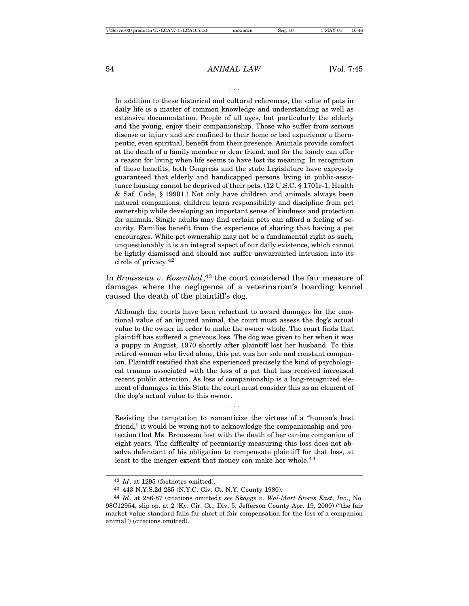. . .

In addition to these historical and cultural references, the value of pets in daily life is a matter of common knowledge and understanding as well as extensive documentation. People of all ages, but particularly the elderly and the young, enjoy their companionship. Those who suffer from serious disease or injury and are confined to their home or bed experience a therapeutic, even spiritual, benefit from their presence. Animals provide comfort at the death of a family member or dear friend, and for the lonely can offer a reason for living when life seems to have lost its meaning. In recognition of these benefits, both Congress and the state Legislature have expressly guaranteed that elderly and handicapped persons living in public-assistance housing cannot be deprived of their pets. (12 U.S.C. § 1701r-1; Health & Saf. Code, § 19901.) Not only have children and animals always been natural companions, children learn responsibility and discipline from pet ownership while developing an important sense of kindness and protection for animals. Single adults may find certain pets can afford a feeling of security. Families benefit from the experience of sharing that having a pet encourages. While pet ownership may not be a fundamental right as such, unquestionably it is an integral aspect of our daily existence, which cannot be lightly dismissed and should not suffer unwarranted intrusion into its circle of privacy.42

In *Brousseau v*. *Rosenthal*, 43 the court considered the fair measure of damages where the negligence of a veterinarian's boarding kennel caused the death of the plaintiff's dog.

Although the courts have been reluctant to award damages for the emotional value of an injured animal, the court must assess the dog's actual value to the owner in order to make the owner whole. The court finds that plaintiff has suffered a grievous loss. The dog was given to her when it was a puppy in August, 1970 shortly after plaintiff lost her husband. To this retired woman who lived alone, this pet was her sole and constant companion. Plaintiff testified that she experienced precisely the kind of psychological trauma associated with the loss of a pet that has received increased recent public attention. As loss of companionship is a long-recognized element of damages in this State the court must consider this as an element of the dog's actual value to this owner.

Resisting the temptation to romanticize the virtues of a "human's best friend," it would be wrong not to acknowledge the companionship and protection that Ms. Brousseau lost with the death of her canine companion of eight years. The difficulty of pecuniarily measuring this loss does not absolve defendant of his obligation to compensate plaintiff for that loss, at least to the meager extent that money can make her whole.<sup>44</sup>

. . .

<sup>42</sup> *Id*. at 1295 (footnotes omitted).

<sup>43</sup> 443 N.Y.S.2d 285 (N.Y.C. Civ. Ct. N.Y. County 1980).

<sup>44</sup> *Id*. at 286-87 (citations omitted); *see Skaggs v*. *Wal-Mart Stores East*, *Inc*., No. 98C12954, slip op. at 2 (Ky. Cir. Ct., Div. 5, Jefferson County Apr. 19, 2000) ("the fair market value standard falls far short of fair compensation for the loss of a companion animal") (citations omitted).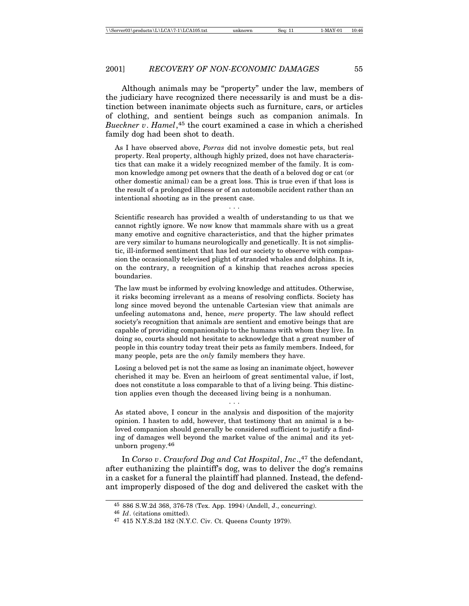Although animals may be "property" under the law, members of the judiciary have recognized there necessarily is and must be a distinction between inanimate objects such as furniture, cars, or articles of clothing, and sentient beings such as companion animals. In *Bueckner v*. *Hamel*, 45 the court examined a case in which a cherished family dog had been shot to death.

As I have observed above, *Porras* did not involve domestic pets, but real property. Real property, although highly prized, does not have characteristics that can make it a widely recognized member of the family. It is common knowledge among pet owners that the death of a beloved dog or cat (or other domestic animal) can be a great loss. This is true even if that loss is the result of a prolonged illness or of an automobile accident rather than an intentional shooting as in the present case.

. . .

Scientific research has provided a wealth of understanding to us that we cannot rightly ignore. We now know that mammals share with us a great many emotive and cognitive characteristics, and that the higher primates are very similar to humans neurologically and genetically. It is not simplistic, ill-informed sentiment that has led our society to observe with compassion the occasionally televised plight of stranded whales and dolphins. It is, on the contrary, a recognition of a kinship that reaches across species boundaries.

The law must be informed by evolving knowledge and attitudes. Otherwise, it risks becoming irrelevant as a means of resolving conflicts. Society has long since moved beyond the untenable Cartesian view that animals are unfeeling automatons and, hence, *mere* property. The law should reflect society's recognition that animals are sentient and emotive beings that are capable of providing companionship to the humans with whom they live. In doing so, courts should not hesitate to acknowledge that a great number of people in this country today treat their pets as family members. Indeed, for many people, pets are the *only* family members they have.

Losing a beloved pet is not the same as losing an inanimate object, however cherished it may be. Even an heirloom of great sentimental value, if lost, does not constitute a loss comparable to that of a living being. This distinction applies even though the deceased living being is a nonhuman.

. . .

As stated above, I concur in the analysis and disposition of the majority opinion. I hasten to add, however, that testimony that an animal is a beloved companion should generally be considered sufficient to justify a finding of damages well beyond the market value of the animal and its yetunborn progeny.46

In *Corso v. Crawford Dog and Cat Hospital*, *Inc.*,<sup>47</sup> the defendant, after euthanizing the plaintiff's dog, was to deliver the dog's remains in a casket for a funeral the plaintiff had planned. Instead, the defendant improperly disposed of the dog and delivered the casket with the

<sup>45</sup> 886 S.W.2d 368, 376-78 (Tex. App. 1994) (Andell, J., concurring).

<sup>46</sup> *Id*. (citations omitted).

<sup>47</sup> 415 N.Y.S.2d 182 (N.Y.C. Civ. Ct. Queens County 1979).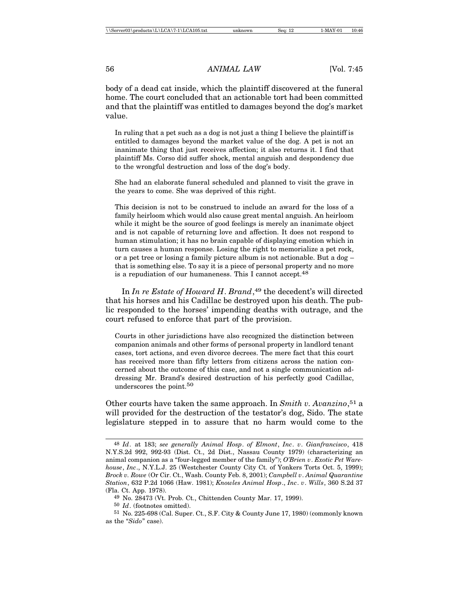body of a dead cat inside, which the plaintiff discovered at the funeral home. The court concluded that an actionable tort had been committed and that the plaintiff was entitled to damages beyond the dog's market value.

In ruling that a pet such as a dog is not just a thing I believe the plaintiff is entitled to damages beyond the market value of the dog. A pet is not an inanimate thing that just receives affection; it also returns it. I find that plaintiff Ms. Corso did suffer shock, mental anguish and despondency due to the wrongful destruction and loss of the dog's body.

She had an elaborate funeral scheduled and planned to visit the grave in the years to come. She was deprived of this right.

This decision is not to be construed to include an award for the loss of a family heirloom which would also cause great mental anguish. An heirloom while it might be the source of good feelings is merely an inanimate object and is not capable of returning love and affection. It does not respond to human stimulation; it has no brain capable of displaying emotion which in turn causes a human response. Losing the right to memorialize a pet rock, or a pet tree or losing a family picture album is not actionable. But a dog – that is something else. To say it is a piece of personal property and no more is a repudiation of our humaneness. This I cannot accept.<sup>48</sup>

In *In re Estate of Howard H*. *Brand*, 49 the decedent's will directed that his horses and his Cadillac be destroyed upon his death. The public responded to the horses' impending deaths with outrage, and the court refused to enforce that part of the provision.

Courts in other jurisdictions have also recognized the distinction between companion animals and other forms of personal property in landlord tenant cases, tort actions, and even divorce decrees. The mere fact that this court has received more than fifty letters from citizens across the nation concerned about the outcome of this case, and not a single communication addressing Mr. Brand's desired destruction of his perfectly good Cadillac, underscores the point.50

Other courts have taken the same approach. In *Smith v. Avanzino*, 51 a will provided for the destruction of the testator's dog, Sido. The state legislature stepped in to assure that no harm would come to the

<sup>48</sup> *Id*. at 183; *see generally Animal Hosp*. *of Elmont*, *Inc*. *v*. *Gianfrancisco*, 418 N.Y.S.2d 992, 992-93 (Dist. Ct., 2d Dist., Nassau County 1979) (characterizing an animal companion as a "four-legged member of the family"); *O'Brien v*. *Exotic Pet Warehouse*, *Inc*., N.Y.L.J. 25 (Westchester County City Ct. of Yonkers Torts Oct. 5, 1999); *Brock v. Rowe* (Or Cir. Ct., Wash. County Feb. 8, 2001); *Campbell v*. *Animal Quarantine Station*, 632 P.2d 1066 (Haw. 1981); *Knowles Animal Hosp*., *Inc*. *v*. *Wills*, 360 S.2d 37 (Fla. Ct. App. 1978).

<sup>49</sup> No. 28473 (Vt. Prob. Ct., Chittenden County Mar. 17, 1999).

<sup>50</sup> *Id*. (footnotes omitted).

<sup>51</sup> No. 225-698 (Cal. Super. Ct., S.F. City & County June 17, 1980) (commonly known as the "*Sido*" case).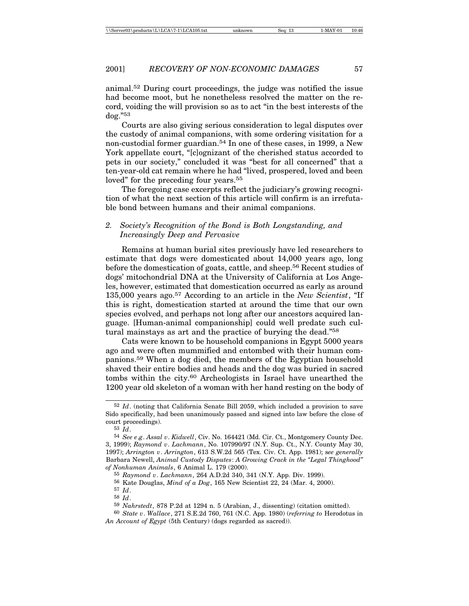animal.52 During court proceedings, the judge was notified the issue had become moot, but he nonetheless resolved the matter on the record, voiding the will provision so as to act "in the best interests of the dog."53

Courts are also giving serious consideration to legal disputes over the custody of animal companions, with some ordering visitation for a non-custodial former guardian.54 In one of these cases, in 1999, a New York appellate court, "[c]ognizant of the cherished status accorded to pets in our society," concluded it was "best for all concerned" that a ten-year-old cat remain where he had "lived, prospered, loved and been loved" for the preceding four years.<sup>55</sup>

The foregoing case excerpts reflect the judiciary's growing recognition of what the next section of this article will confirm is an irrefutable bond between humans and their animal companions.

#### *2. Society's Recognition of the Bond is Both Longstanding, and Increasingly Deep and Pervasive*

Remains at human burial sites previously have led researchers to estimate that dogs were domesticated about 14,000 years ago, long before the domestication of goats, cattle, and sheep.56 Recent studies of dogs' mitochondrial DNA at the University of California at Los Angeles, however, estimated that domestication occurred as early as around 135,000 years ago.57 According to an article in the *New Scientist*, "If this is right, domestication started at around the time that our own species evolved, and perhaps not long after our ancestors acquired language. [Human-animal companionship] could well predate such cultural mainstays as art and the practice of burying the dead."<sup>58</sup>

Cats were known to be household companions in Egypt 5000 years ago and were often mummified and entombed with their human companions.59 When a dog died, the members of the Egyptian household shaved their entire bodies and heads and the dog was buried in sacred tombs within the city.60 Archeologists in Israel have unearthed the 1200 year old skeleton of a woman with her hand resting on the body of

<sup>52</sup> *Id*. (noting that California Senate Bill 2059, which included a provision to save Sido specifically, had been unanimously passed and signed into law before the close of court proceedings).

<sup>53</sup> *Id*.

<sup>54</sup> *See e*.*g*. *Assal v*. *Kidwell*, Civ. No. 164421 (Md. Cir. Ct., Montgomery County Dec. 3, 1999); *Raymond v*. *Lachmann*, No. 107990/97 (N.Y. Sup. Ct., N.Y. County May 30, 1997); *Arrington v*. *Arrington*, 613 S.W.2d 565 (Tex. Civ. Ct. App. 1981); s*ee generally* Barbara Newell, *Animal Custody Disputes*: *A Growing Crack in the "Legal Thinghood" of Nonhuman Animals*, 6 Animal L. 179 (2000).

<sup>55</sup> *Raymond v*. *Lachmann*, 264 A.D.2d 340, 341 (N.Y. App. Div. 1999).

<sup>56</sup> Kate Douglas, *Mind of a Dog*, 165 New Scientist 22, 24 (Mar. 4, 2000).

<sup>57</sup> *Id*.

<sup>58</sup> *Id*.

<sup>59</sup> *Nahrstedt*, 878 P.2d at 1294 n. 5 (Arabian, J., dissenting) (citation omitted).

<sup>60</sup> *State v*. *Wallace*, 271 S.E.2d 760, 761 (N.C. App. 1980) (*referring to* Herodotus in *An Account of Egypt* (5th Century) (dogs regarded as sacred)).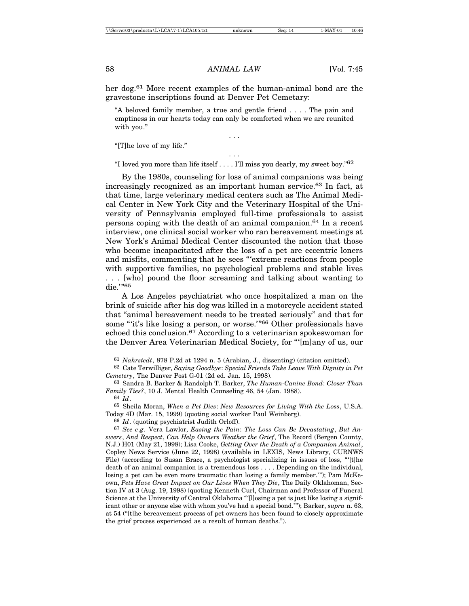her dog.61 More recent examples of the human-animal bond are the gravestone inscriptions found at Denver Pet Cemetary:

"A beloved family member, a true and gentle friend . . . . The pain and emptiness in our hearts today can only be comforted when we are reunited with you."

. . .

"[T]he love of my life."

. . . "I loved you more than life itself . . . . I'll miss you dearly, my sweet boy."62

By the 1980s, counseling for loss of animal companions was being increasingly recognized as an important human service.63 In fact, at that time, large veterinary medical centers such as The Animal Medical Center in New York City and the Veterinary Hospital of the University of Pennsylvania employed full-time professionals to assist persons coping with the death of an animal companion.64 In a recent interview, one clinical social worker who ran bereavement meetings at New York's Animal Medical Center discounted the notion that those who become incapacitated after the loss of a pet are eccentric loners and misfits, commenting that he sees "'extreme reactions from people with supportive families, no psychological problems and stable lives . . . [who] pound the floor screaming and talking about wanting to die.'"65

A Los Angeles psychiatrist who once hospitalized a man on the brink of suicide after his dog was killed in a motorcycle accident stated that "animal bereavement needs to be treated seriously" and that for some "'it's like losing a person, or worse.'"66 Other professionals have echoed this conclusion.67 According to a veterinarian spokeswoman for the Denver Area Veterinarian Medical Society, for "'[m]any of us, our

64 *Id*.

66 *Id*. (quoting psychiatrist Judith Orloff).

<sup>61</sup> *Nahrstedt*, 878 P.2d at 1294 n. 5 (Arabian, J., dissenting) (citation omitted).

<sup>62</sup> Cate Terwilliger, *Saying Goodbye*: *Special Friends Take Leave With Dignity in Pet Cemetery*, The Denver Post G-01 (2d ed. Jan. 15, 1998).

<sup>63</sup> Sandra B. Barker & Randolph T. Barker, *The Human-Canine Bond*: *Closer Than Family Ties?*, 10 J. Mental Health Counseling 46, 54 (Jan. 1988).

<sup>65</sup> Sheila Moran, *When a Pet Dies*: *New Resources for Living With the Loss*, U.S.A. Today 4D (Mar. 15, 1999) (quoting social worker Paul Weinberg).

<sup>67</sup> *See e*.*g*. Vera Lawlor, *Easing the Pain*: *The Loss Can Be Devastating*, *But Answers*, *And Respect*, *Can Help Owners Weather the Grief*, The Record (Bergen County, N.J.) H01 (May 21, 1998); Lisa Cooke, *Getting Over the Death of a Companion Animal*, Copley News Service (June 22, 1998) (available in LEXIS, News Library, CURNWS File) (according to Susan Brace, a psychologist specializing in issues of loss, "'[t]he death of an animal companion is a tremendous loss . . . . Depending on the individual, losing a pet can be even more traumatic than losing a family member.'"); Pam McKeown, *Pets Have Great Impact on Our Lives When They Die*, The Daily Oklahoman, Section IV at 3 (Aug. 19, 1998) (quoting Kenneth Curl, Chairman and Professor of Funeral Science at the University of Central Oklahoma "'[l]osing a pet is just like losing a significant other or anyone else with whom you've had a special bond.'"); Barker, *supra* n. 63, at 54 ("[t]he bereavement process of pet owners has been found to closely approximate the grief process experienced as a result of human deaths.").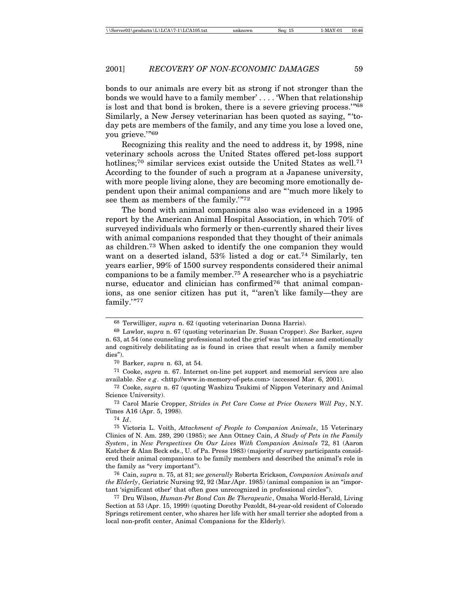bonds to our animals are every bit as strong if not stronger than the bonds we would have to a family member' . . . . 'When that relationship is lost and that bond is broken, there is a severe grieving process.'"<sup>68</sup> Similarly, a New Jersey veterinarian has been quoted as saying, "'today pets are members of the family, and any time you lose a loved one, you grieve."<sup>69</sup>

Recognizing this reality and the need to address it, by 1998, nine veterinary schools across the United States offered pet-loss support hotlines;<sup>70</sup> similar services exist outside the United States as well.<sup>71</sup> According to the founder of such a program at a Japanese university, with more people living alone, they are becoming more emotionally dependent upon their animal companions and are "'much more likely to see them as members of the family.'"<sup>72</sup>

The bond with animal companions also was evidenced in a 1995 report by the American Animal Hospital Association, in which 70% of surveyed individuals who formerly or then-currently shared their lives with animal companions responded that they thought of their animals as children.73 When asked to identify the one companion they would want on a deserted island, 53% listed a dog or cat.<sup>74</sup> Similarly, ten years earlier, 99% of 1500 survey respondents considered their animal companions to be a family member.75 A researcher who is a psychiatric nurse, educator and clinician has confirmed<sup>76</sup> that animal companions, as one senior citizen has put it, "'aren't like family—they are family.'"77

<sup>68</sup> Terwilliger, *supra* n. 62 (quoting veterinarian Donna Harris).

<sup>69</sup> Lawlor, s*upra* n. 67 (quoting veterinarian Dr. Susan Cropper). *See* Barker, *supra* n. 63, at 54 (one counseling professional noted the grief was "as intense and emotionally and cognitively debilitating as is found in crises that result when a family member dies").

<sup>70</sup> Barker, *supra* n. 63, at 54.

<sup>71</sup> Cooke, *supra* n. 67. Internet on-line pet support and memorial services are also available. *See e*.*g*. <http://www.in-memory-of-pets.com> (accessed Mar. 6, 2001).

<sup>72</sup> Cooke, *supra* n. 67 (quoting Washizu Tsukimi of Nippon Veterinary and Animal Science University).

<sup>73</sup> Carol Marie Cropper, *Strides in Pet Care Come at Price Owners Will Pay*, N.Y. Times A16 (Apr. 5, 1998).

<sup>74</sup> *Id*.

<sup>75</sup> Victoria L. Voith, *Attachment of People to Companion Animals*, 15 Veterinary Clinics of N. Am. 289, 290 (1985); s*ee* Ann Ottney Cain, *A Study of Pets in the Family System*, in *New Perspectives On Our Lives With Companion Animals* 72, 81 (Aaron Katcher & Alan Beck eds., U. of Pa. Press 1983) (majority of survey participants considered their animal companions to be family members and described the animal's role in the family as "very important").

<sup>76</sup> Cain, *supra* n. 75, at 81; s*ee generally* Roberta Erickson, *Companion Animals and the Elderly*, Geriatric Nursing 92, 92 (Mar./Apr. 1985) (animal companion is an "important 'significant other' that often goes unrecognized in professional circles").

<sup>77</sup> Dru Wilson, *Human-Pet Bond Can Be Therapeutic*, Omaha World-Herald, Living Section at 53 (Apr. 15, 1999) (quoting Dorothy Pezoldt, 84-year-old resident of Colorado Springs retirement center, who shares her life with her small terrier she adopted from a local non-profit center, Animal Companions for the Elderly).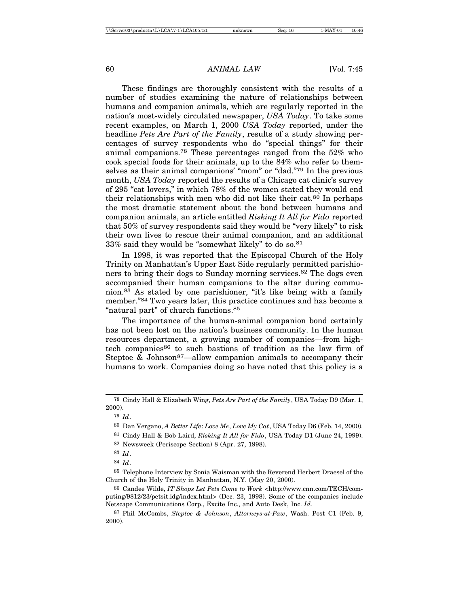These findings are thoroughly consistent with the results of a number of studies examining the nature of relationships between humans and companion animals, which are regularly reported in the nation's most-widely circulated newspaper, *USA Today*. To take some recent examples, on March 1, 2000 *USA Today* reported, under the headline *Pets Are Part of the Family*, results of a study showing percentages of survey respondents who do "special things" for their animal companions.78 These percentages ranged from the 52% who cook special foods for their animals, up to the 84% who refer to themselves as their animal companions' "mom" or "dad."79 In the previous month, *USA Today* reported the results of a Chicago cat clinic's survey of 295 "cat lovers," in which 78% of the women stated they would end their relationships with men who did not like their cat.80 In perhaps the most dramatic statement about the bond between humans and companion animals, an article entitled *Risking It All for Fido* reported that 50% of survey respondents said they would be "very likely" to risk their own lives to rescue their animal companion, and an additional  $33\%$  said they would be "somewhat likely" to do so.  $81$ 

In 1998, it was reported that the Episcopal Church of the Holy Trinity on Manhattan's Upper East Side regularly permitted parishioners to bring their dogs to Sunday morning services.82 The dogs even accompanied their human companions to the altar during communion.83 As stated by one parishioner, "it's like being with a family member."84 Two years later, this practice continues and has become a "natural part" of church functions.85

The importance of the human-animal companion bond certainly has not been lost on the nation's business community. In the human resources department, a growing number of companies—from hightech companies<sup>86</sup> to such bastions of tradition as the law firm of Steptoe & Johnson<sup>87</sup>—allow companion animals to accompany their humans to work. Companies doing so have noted that this policy is a

<sup>78</sup> Cindy Hall & Elizabeth Wing, *Pets Are Part of the Family*, USA Today D9 (Mar. 1, 2000).

<sup>79</sup> *Id*.

<sup>80</sup> Dan Vergano, *A Better Life*: *Love Me*, *Love My Cat*, USA Today D6 (Feb. 14, 2000).

<sup>81</sup> Cindy Hall & Bob Laird, *Risking It All for Fido*, USA Today D1 (June 24, 1999).

<sup>82</sup> Newsweek (Periscope Section) 8 (Apr. 27, 1998).

<sup>83</sup> *Id*.

<sup>84</sup> *Id*.

<sup>85</sup> Telephone Interview by Sonia Waisman with the Reverend Herbert Draesel of the Church of the Holy Trinity in Manhattan, N.Y. (May 20, 2000).

<sup>86</sup> Candee Wilde, *IT Shops Let Pets Come to Work* <http://www.cnn.com/TECH/computing/9812/23/petsit.idg/index.html> (Dec. 23, 1998). Some of the companies include Netscape Communications Corp., Excite Inc., and Auto Desk, Inc. *Id*.

<sup>87</sup> Phil McCombs, *Steptoe & Johnson*, *Attorneys-at-Paw*, Wash. Post C1 (Feb. 9, 2000).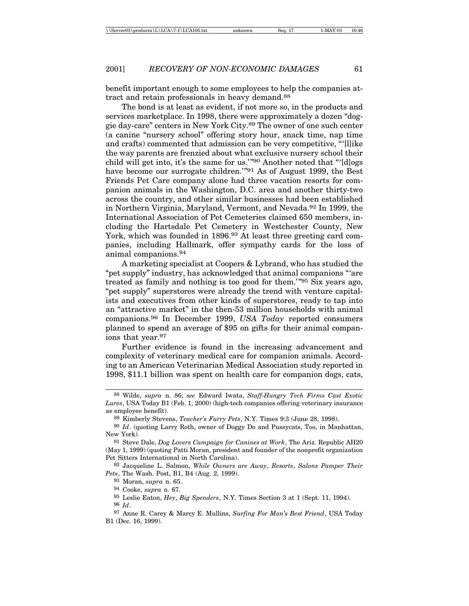benefit important enough to some employees to help the companies attract and retain professionals in heavy demand.<sup>88</sup>

The bond is at least as evident, if not more so, in the products and services marketplace. In 1998, there were approximately a dozen "doggie day-care" centers in New York City.89 The owner of one such center (a canine "nursery school" offering story hour, snack time, nap time and crafts) commented that admission can be very competitive, "'[l]ike the way parents are frenzied about what exclusive nursery school their child will get into, it's the same for us.'"90 Another noted that "'[d]ogs have become our surrogate children.<sup>"91</sup> As of August 1999, the Best Friends Pet Care company alone had three vacation resorts for companion animals in the Washington, D.C. area and another thirty-two across the country, and other similar businesses had been established in Northern Virginia, Maryland, Vermont, and Nevada.92 In 1999, the International Association of Pet Cemeteries claimed 650 members, including the Hartsdale Pet Cemetery in Westchester County, New York, which was founded in 1896.<sup>93</sup> At least three greeting card companies, including Hallmark, offer sympathy cards for the loss of animal companions.<sup>94</sup>

A marketing specialist at Coopers & Lybrand, who has studied the "pet supply" industry, has acknowledged that animal companions "'are treated as family and nothing is too good for them.'"95 Six years ago, "pet supply" superstores were already the trend with venture capitalists and executives from other kinds of superstores, ready to tap into an "attractive market" in the then-53 million households with animal companions.96 In December 1999, *USA Today* reported consumers planned to spend an average of \$95 on gifts for their animal companions that year.<sup>97</sup>

Further evidence is found in the increasing advancement and complexity of veterinary medical care for companion animals. According to an American Veterinarian Medical Association study reported in 1998, \$11.1 billion was spent on health care for companion dogs, cats,

<sup>88</sup> Wilde, *supra* n. 86; *see* Edward Iwata, *Staff-Hungry Tech Firms Cast Exotic Lures*, USA Today B1 (Feb. 1, 2000) (high-tech companies offering veterinary insurance as employee benefit).

<sup>89</sup> Kimberly Stevens, *Teacher's Furry Pets*, N.Y. Times 9:3 (June 28, 1998).

<sup>90</sup> *Id*. (quoting Larry Roth, owner of Doggy Do and Pussycats, Too, in Manhattan, New York).

<sup>91</sup> Steve Dale, *Dog Lovers Campaign for Canines at Work*, The Ariz. Republic AH20 (May 1, 1999) (quoting Patti Moran, president and founder of the nonprofit organization Pet Sitters International in North Carolina).

<sup>92</sup> Jacqueline L. Salmon, *While Owners are Away*, *Resorts*, *Salons Pamper Their Pets*, The Wash. Post, B1, B4 (Aug. 2, 1999).

<sup>93</sup> Moran, *supra* n. 65.

<sup>94</sup> Cooke, *supra* n. 67.

<sup>95</sup> Leslie Eaton, *Hey*, *Big Spenders*, N.Y. Times Section 3 at 1 (Sept. 11, 1994).

<sup>96</sup> *Id*.

<sup>97</sup> Anne R. Carey & Marcy E. Mullins, *Surfing For Man's Best Friend*, USA Today B1 (Dec. 16, 1999).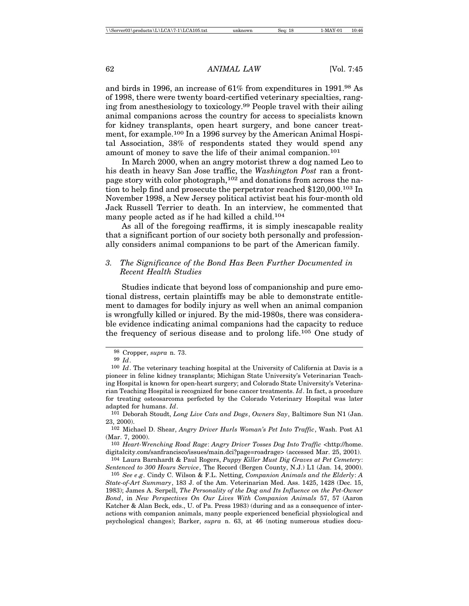and birds in 1996, an increase of 61% from expenditures in 1991.98 As of 1998, there were twenty board-certified veterinary specialties, ranging from anesthesiology to toxicology.99 People travel with their ailing animal companions across the country for access to specialists known for kidney transplants, open heart surgery, and bone cancer treatment, for example.100 In a 1996 survey by the American Animal Hospital Association, 38% of respondents stated they would spend any amount of money to save the life of their animal companion.<sup>101</sup>

In March 2000, when an angry motorist threw a dog named Leo to his death in heavy San Jose traffic, the *Washington Post* ran a frontpage story with color photograph,102 and donations from across the nation to help find and prosecute the perpetrator reached \$120,000.103 In November 1998, a New Jersey political activist beat his four-month old Jack Russell Terrier to death. In an interview, he commented that many people acted as if he had killed a child.<sup>104</sup>

As all of the foregoing reaffirms, it is simply inescapable reality that a significant portion of our society both personally and professionally considers animal companions to be part of the American family.

### *3. The Significance of the Bond Has Been Further Documented in Recent Health Studies*

Studies indicate that beyond loss of companionship and pure emotional distress, certain plaintiffs may be able to demonstrate entitlement to damages for bodily injury as well when an animal companion is wrongfully killed or injured. By the mid-1980s, there was considerable evidence indicating animal companions had the capacity to reduce the frequency of serious disease and to prolong life.105 One study of

104 Laura Barnhardt & Paul Rogers, *Puppy Killer Must Dig Graves at Pet Cemetery*: *Sentenced to 300 Hours Service*, The Record (Bergen County, N.J.) L1 (Jan. 14, 2000).

105 *See e*.*g*. Cindy C. Wilson & F.L. Netting, *Companion Animals and the Elderly*: *A State-of-Art Summary*, 183 J. of the Am. Veterinarian Med. Ass. 1425, 1428 (Dec. 15, 1983); James A. Serpell, *The Personality of the Dog and Its Influence on the Pet-Owner Bond*, in *New Perspectives On Our Lives With Companion Animals* 57, 57 (Aaron Katcher & Alan Beck, eds., U. of Pa. Press 1983) (during and as a consequence of interactions with companion animals, many people experienced beneficial physiological and psychological changes); Barker, *supra* n. 63, at 46 (noting numerous studies docu-

<sup>98</sup> Cropper, *supra* n. 73.

<sup>99</sup> *Id*.

<sup>100</sup> *Id*. The veterinary teaching hospital at the University of California at Davis is a pioneer in feline kidney transplants; Michigan State University's Veterinarian Teaching Hospital is known for open-heart surgery; and Colorado State University's Veterinarian Teaching Hospital is recognized for bone cancer treatments. *Id*. In fact, a procedure for treating osteosarcoma perfected by the Colorado Veterinary Hospital was later adapted for humans. *Id*.

<sup>101</sup> Deborah Stoudt, *Long Live Cats and Dogs*, *Owners Say*, Baltimore Sun N1 (Jan. 23, 2000).

<sup>102</sup> Michael D. Shear, *Angry Driver Hurls Woman's Pet Into Traffic*, Wash. Post A1 (Mar. 7, 2000).

<sup>103</sup> *Heart-Wrenching Road Rage*: *Angry Driver Tosses Dog Into Traffic* <http://home. digitalcity.com/sanfrancisco/issues/main.dci?page=roadrage> (accessed Mar. 25, 2001).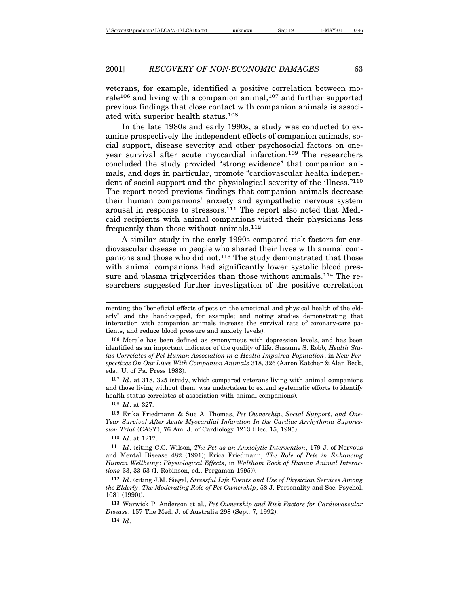veterans, for example, identified a positive correlation between morale<sup>106</sup> and living with a companion animal,<sup>107</sup> and further supported previous findings that close contact with companion animals is associated with superior health status.108

In the late 1980s and early 1990s, a study was conducted to examine prospectively the independent effects of companion animals, social support, disease severity and other psychosocial factors on oneyear survival after acute myocardial infarction.109 The researchers concluded the study provided "strong evidence" that companion animals, and dogs in particular, promote "cardiovascular health independent of social support and the physiological severity of the illness."<sup>110</sup> The report noted previous findings that companion animals decrease their human companions' anxiety and sympathetic nervous system arousal in response to stressors.111 The report also noted that Medicaid recipients with animal companions visited their physicians less frequently than those without animals.112

A similar study in the early 1990s compared risk factors for cardiovascular disease in people who shared their lives with animal companions and those who did not.113 The study demonstrated that those with animal companions had significantly lower systolic blood pressure and plasma triglycerides than those without animals.114 The researchers suggested further investigation of the positive correlation

106 Morale has been defined as synonymous with depression levels, and has been identified as an important indicator of the quality of life. Susanne S. Robb, *Health Status Correlates of Pet-Human Association in a Health-Impaired Population*, in *New Perspectives On Our Lives With Companion Animals* 318, 326 (Aaron Katcher & Alan Beck, eds., U. of Pa. Press 1983).

107 *Id*. at 318, 325 (study, which compared veterans living with animal companions and those living without them, was undertaken to extend systematic efforts to identify health status correlates of association with animal companions).

108 *Id*. at 327.

109 Erika Friedmann & Sue A. Thomas, *Pet Ownership*, *Social Support*, *and One-Year Survival After Acute Myocardial Infarction In the Cardiac Arrhythmia Suppression Trial* (*CAST*), 76 Am. J. of Cardiology 1213 (Dec. 15, 1995).

110 *Id*. at 1217.

111 *Id*. (citing C.C. Wilson, *The Pet as an Anxiolytic Intervention*, 179 J. of Nervous and Mental Disease 482 (1991); Erica Friedmann, *The Role of Pets in Enhancing Human Wellbeing*: *Physiological Effects*, in *Waltham Book of Human Animal Interactions* 33, 33-53 (I. Robinson, ed., Pergamon 1995)).

112 *Id*. (citing J.M. Siegel, *Stressful Life Events and Use of Physician Services Among the Elderly*: *The Moderating Role of Pet Ownership*, 58 J. Personality and Soc. Psychol. 1081 (1990)).

113 Warwick P. Anderson et al., *Pet Ownership and Risk Factors for Cardiovascular Disease*, 157 The Med. J. of Australia 298 (Sept. 7, 1992).

114 *Id*.

menting the "beneficial effects of pets on the emotional and physical health of the elderly" and the handicapped, for example; and noting studies demonstrating that interaction with companion animals increase the survival rate of coronary-care patients, and reduce blood pressure and anxiety levels).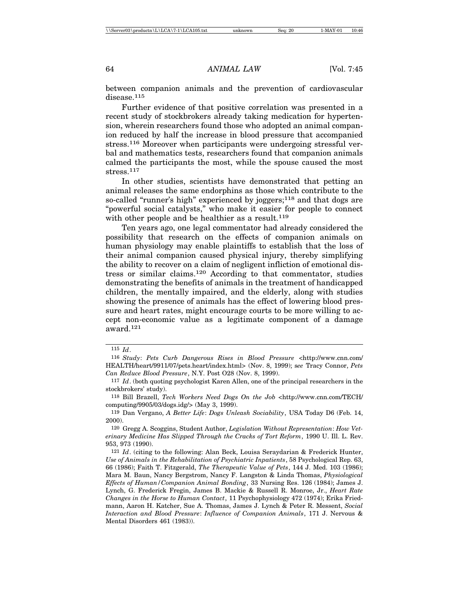between companion animals and the prevention of cardiovascular disease.<sup>115</sup>

Further evidence of that positive correlation was presented in a recent study of stockbrokers already taking medication for hypertension, wherein researchers found those who adopted an animal companion reduced by half the increase in blood pressure that accompanied stress.116 Moreover when participants were undergoing stressful verbal and mathematics tests, researchers found that companion animals calmed the participants the most, while the spouse caused the most stress.117

In other studies, scientists have demonstrated that petting an animal releases the same endorphins as those which contribute to the so-called "runner's high" experienced by joggers;<sup>118</sup> and that dogs are "powerful social catalysts," who make it easier for people to connect with other people and be healthier as a result.<sup>119</sup>

Ten years ago, one legal commentator had already considered the possibility that research on the effects of companion animals on human physiology may enable plaintiffs to establish that the loss of their animal companion caused physical injury, thereby simplifying the ability to recover on a claim of negligent infliction of emotional distress or similar claims.120 According to that commentator, studies demonstrating the benefits of animals in the treatment of handicapped children, the mentally impaired, and the elderly, along with studies showing the presence of animals has the effect of lowering blood pressure and heart rates, might encourage courts to be more willing to accept non-economic value as a legitimate component of a damage award.121

118 Bill Brazell, *Tech Workers Need Dogs On the Job* <http://www.cnn.com/TECH/ computing/9905/03/dogs.idg/> (May 3, 1999).

119 Dan Vergano, *A Better Life*: *Dogs Unleash Sociability*, USA Today D6 (Feb. 14, 2000).

120 Gregg A. Scoggins, Student Author, *Legislation Without Representation*: *How Veterinary Medicine Has Slipped Through the Cracks of Tort Reform*, 1990 U. Ill. L. Rev. 953, 973 (1990).

<sup>115</sup> *Id*.

<sup>116</sup> *Study*: *Pets Curb Dangerous Rises in Blood Pressure* <http://www.cnn.com/ HEALTH/heart/9911/07/pets.heart/index.html> (Nov. 8, 1999); s*ee* Tracy Connor, *Pets Can Reduce Blood Pressure*, N.Y. Post O28 (Nov. 8, 1999).

<sup>117</sup> *Id*. (both quoting psychologist Karen Allen, one of the principal researchers in the stockbrokers' study).

<sup>121</sup> *Id*. (citing to the following: Alan Beck, Louisa Seraydarian & Frederick Hunter, *Use of Animals in the Rehabilitation of Psychiatric Inpatients*, 58 Psychological Rep. 63, 66 (1986); Faith T. Fitzgerald, *The Therapeutic Value of Pets*, 144 J. Med. 103 (1986); Mara M. Baun, Nancy Bergstrom, Nancy F. Langston & Linda Thomas, *Physiological Effects of Human/Companion Animal Bonding*, 33 Nursing Res. 126 (1984); James J. Lynch, G. Frederick Fregin, James B. Mackie & Russell R. Monroe, Jr., *Heart Rate Changes in the Horse to Human Contact*, 11 Psychophysiology 472 (1974); Erika Friedmann, Aaron H. Katcher, Sue A. Thomas, James J. Lynch & Peter R. Messent, *Social Interaction and Blood Pressure*: *Influence of Companion Animals*, 171 J. Nervous & Mental Disorders 461 (1983)).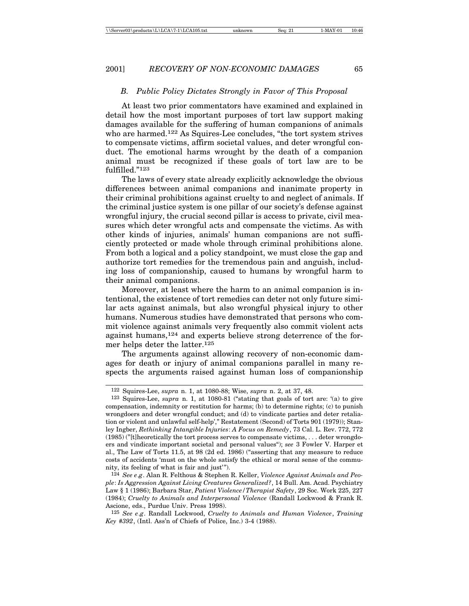#### *B. Public Policy Dictates Strongly in Favor of This Proposal*

At least two prior commentators have examined and explained in detail how the most important purposes of tort law support making damages available for the suffering of human companions of animals who are harmed.<sup>122</sup> As Squires-Lee concludes, "the tort system strives to compensate victims, affirm societal values, and deter wrongful conduct. The emotional harms wrought by the death of a companion animal must be recognized if these goals of tort law are to be fulfilled."123

The laws of every state already explicitly acknowledge the obvious differences between animal companions and inanimate property in their criminal prohibitions against cruelty to and neglect of animals. If the criminal justice system is one pillar of our society's defense against wrongful injury, the crucial second pillar is access to private, civil measures which deter wrongful acts and compensate the victims. As with other kinds of injuries, animals' human companions are not sufficiently protected or made whole through criminal prohibitions alone. From both a logical and a policy standpoint, we must close the gap and authorize tort remedies for the tremendous pain and anguish, including loss of companionship, caused to humans by wrongful harm to their animal companions.

Moreover, at least where the harm to an animal companion is intentional, the existence of tort remedies can deter not only future similar acts against animals, but also wrongful physical injury to other humans. Numerous studies have demonstrated that persons who commit violence against animals very frequently also commit violent acts against humans,124 and experts believe strong deterrence of the former helps deter the latter.<sup>125</sup>

The arguments against allowing recovery of non-economic damages for death or injury of animal companions parallel in many respects the arguments raised against human loss of companionship

<sup>122</sup> Squires-Lee, *supra* n. 1, at 1080-88; Wise, *supra* n. 2, at 37, 48.

<sup>123</sup> Squires-Lee, *supra* n. 1, at 1080-81 ("stating that goals of tort are: '(a) to give compensation, indemnity or restitution for harms; (b) to determine rights; (c) to punish wrongdoers and deter wrongful conduct; and (d) to vindicate parties and deter retaliation or violent and unlawful self-help'," Restatement (Second) of Torts 901 (1979)); Stanley Ingber, *Rethinking Intangible Injuries*: *A Focus on Remedy*, 73 Cal. L. Rev. 772, 772 (1985) ("[t]heoretically the tort process serves to compensate victims, . . . deter wrongdoers and vindicate important societal and personal values"); *see* 3 Fowler V. Harper et al., The Law of Torts 11.5, at 98 (2d ed. 1986) ("asserting that any measure to reduce costs of accidents 'must on the whole satisfy the ethical or moral sense of the community, its feeling of what is fair and just'").

<sup>124</sup> *See e*.*g*. Alan R. Felthous & Stephen R. Keller, *Violence Against Animals and People*: *Is Aggression Against Living Creatures Generalized?*, 14 Bull. Am. Acad. Psychiatry Law § 1 (1986); Barbara Star, *Patient Violence/Therapist Safety*, 29 Soc. Work 225, 227 (1984); *Cruelty to Animals and Interpersonal Violence* (Randall Lockwood & Frank R. Ascione, eds., Purdue Univ. Press 1998).

<sup>125</sup> *See e*.*g*. Randall Lockwood, *Cruelty to Animals and Human Violence*, *Training Key #392*, (Intl. Ass'n of Chiefs of Police, Inc.) 3-4 (1988).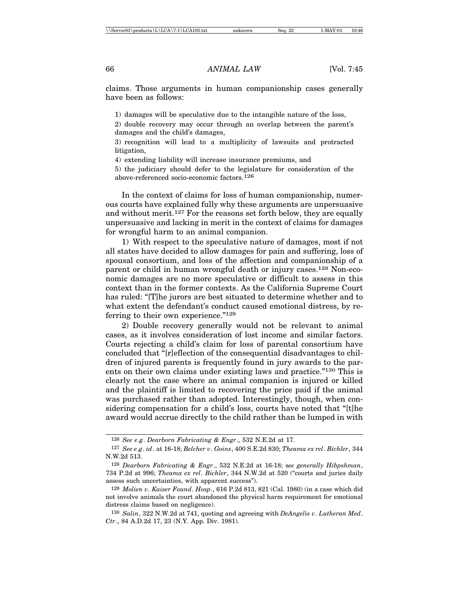claims. Those arguments in human companionship cases generally have been as follows:

1) damages will be speculative due to the intangible nature of the loss,

2) double recovery may occur through an overlap between the parent's damages and the child's damages,

3) recognition will lead to a multiplicity of lawsuits and protracted litigation,

4) extending liability will increase insurance premiums, and

5) the judiciary should defer to the legislature for consideration of the above-referenced socio-economic factors.126

In the context of claims for loss of human companionship, numerous courts have explained fully why these arguments are unpersuasive and without merit.127 For the reasons set forth below, they are equally unpersuasive and lacking in merit in the context of claims for damages for wrongful harm to an animal companion.

1) With respect to the speculative nature of damages, most if not all states have decided to allow damages for pain and suffering, loss of spousal consortium, and loss of the affection and companionship of a parent or child in human wrongful death or injury cases.128 Non-economic damages are no more speculative or difficult to assess in this context than in the former contexts. As the California Supreme Court has ruled: "[T]he jurors are best situated to determine whether and to what extent the defendant's conduct caused emotional distress, by referring to their own experience."<sup>129</sup>

2) Double recovery generally would not be relevant to animal cases, as it involves consideration of lost income and similar factors. Courts rejecting a child's claim for loss of parental consortium have concluded that "[r]eflection of the consequential disadvantages to children of injured parents is frequently found in jury awards to the parents on their own claims under existing laws and practice."130 This is clearly not the case where an animal companion is injured or killed and the plaintiff is limited to recovering the price paid if the animal was purchased rather than adopted. Interestingly, though, when considering compensation for a child's loss, courts have noted that "[t]he award would accrue directly to the child rather than be lumped in with

<sup>126</sup> *See e*.*g*. *Dearborn Fabricating & Engr*., 532 N.E.2d at 17.

<sup>127</sup> *See e*.*g*. *id*. at 16-18; *Belcher v*. *Goins*, 400 S.E.2d 830; *Theama ex rel*. *Bichler*, 344 N.W.2d 513.

<sup>128</sup> *Dearborn Fabricating & Engr*., 532 N.E.2d at 16-18; s*ee generally Hibpshman*, 734 P.2d at 996; *Theama ex rel*. *Bichler*, 344 N.W.2d at 520 ("courts and juries daily assess such uncertainties, with apparent success").

<sup>129</sup> *Molien v*. *Kaiser Found*. *Hosp*., 616 P.2d 813, 821 (Cal. 1980) (in a case which did not involve animals the court abandoned the physical harm requirement for emotional distress claims based on negligence).

<sup>130</sup> *Salin*, 322 N.W.2d at 741, quoting and agreeing with *DeAngelis v*. *Lutheran Med*. *Ctr*., 84 A.D.2d 17, 23 (N.Y. App. Div. 1981).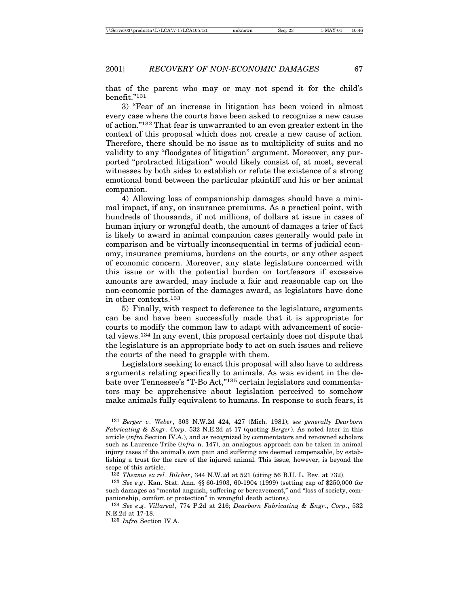that of the parent who may or may not spend it for the child's benefit."131

3) "Fear of an increase in litigation has been voiced in almost every case where the courts have been asked to recognize a new cause of action."132 That fear is unwarranted to an even greater extent in the context of this proposal which does not create a new cause of action. Therefore, there should be no issue as to multiplicity of suits and no validity to any "floodgates of litigation" argument. Moreover, any purported "protracted litigation" would likely consist of, at most, several witnesses by both sides to establish or refute the existence of a strong emotional bond between the particular plaintiff and his or her animal companion.

4) Allowing loss of companionship damages should have a minimal impact, if any, on insurance premiums. As a practical point, with hundreds of thousands, if not millions, of dollars at issue in cases of human injury or wrongful death, the amount of damages a trier of fact is likely to award in animal companion cases generally would pale in comparison and be virtually inconsequential in terms of judicial economy, insurance premiums, burdens on the courts, or any other aspect of economic concern. Moreover, any state legislature concerned with this issue or with the potential burden on tortfeasors if excessive amounts are awarded, may include a fair and reasonable cap on the non-economic portion of the damages award, as legislators have done in other contexts.133

5) Finally, with respect to deference to the legislature, arguments can be and have been successfully made that it is appropriate for courts to modify the common law to adapt with advancement of societal views.134 In any event, this proposal certainly does not dispute that the legislature is an appropriate body to act on such issues and relieve the courts of the need to grapple with them.

Legislators seeking to enact this proposal will also have to address arguments relating specifically to animals. As was evident in the debate over Tennessee's "T-Bo Act,"135 certain legislators and commentators may be apprehensive about legislation perceived to somehow make animals fully equivalent to humans. In response to such fears, it

<sup>131</sup> *Berger v*. *Weber*, 303 N.W.2d 424, 427 (Mich. 1981); s*ee generally Dearborn Fabricating & Engr*. *Corp*. 532 N.E.2d at 17 (quoting *Berger*). As noted later in this article (*infra* Section IV.A.), and as recognized by commentators and renowned scholars such as Laurence Tribe (*infra* n. 147), an analogous approach can be taken in animal injury cases if the animal's own pain and suffering are deemed compensable, by establishing a trust for the care of the injured animal. This issue, however, is beyond the scope of this article.

<sup>132</sup> *Theama ex rel*. *Bilcher*, 344 N.W.2d at 521 (citing 56 B.U. L. Rev. at 732).

<sup>133</sup> *See e*.*g*. Kan. Stat. Ann. §§ 60-1903, 60-1904 (1999) (setting cap of \$250,000 for such damages as "mental anguish, suffering or bereavement," and "loss of society, companionship, comfort or protection" in wrongful death actions).

<sup>134</sup> *See e*.*g*. *Villareal*, 774 P.2d at 216; *Dearborn Fabricating & Engr*., *Corp*., 532 N.E.2d at 17-18.

<sup>135</sup> *Infra* Section IV.A.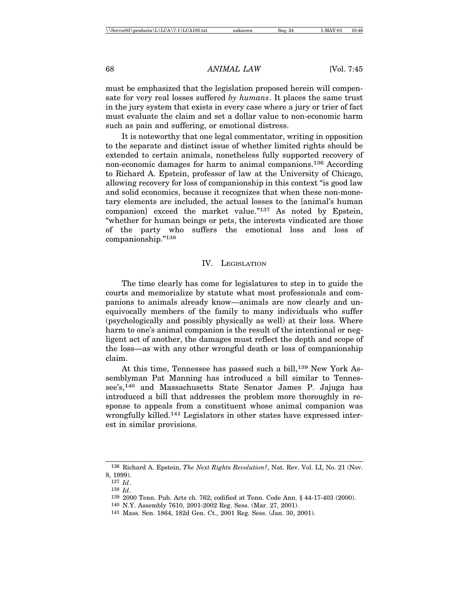must be emphasized that the legislation proposed herein will compensate for very real losses suffered *by humans*. It places the same trust in the jury system that exists in every case where a jury or trier of fact must evaluate the claim and set a dollar value to non-economic harm such as pain and suffering, or emotional distress.

It is noteworthy that one legal commentator, writing in opposition to the separate and distinct issue of whether limited rights should be extended to certain animals, nonetheless fully supported recovery of non-economic damages for harm to animal companions.136 According to Richard A. Epstein, professor of law at the University of Chicago, allowing recovery for loss of companionship in this context "is good law and solid economics, because it recognizes that when these non-monetary elements are included, the actual losses to the [animal's human companion] exceed the market value."137 As noted by Epstein, "whether for human beings or pets, the interests vindicated are those of the party who suffers the emotional loss and loss of companionship."138

#### IV. LEGISLATION

The time clearly has come for legislatures to step in to guide the courts and memorialize by statute what most professionals and companions to animals already know—animals are now clearly and unequivocally members of the family to many individuals who suffer (psychologically and possibly physically as well) at their loss. Where harm to one's animal companion is the result of the intentional or negligent act of another, the damages must reflect the depth and scope of the loss—as with any other wrongful death or loss of companionship claim.

At this time, Tennessee has passed such a bill,<sup>139</sup> New York Assemblyman Pat Manning has introduced a bill similar to Tennessee's,<sup>140</sup> and Massachusetts State Senator James P. Jajuga has introduced a bill that addresses the problem more thoroughly in response to appeals from a constituent whose animal companion was wrongfully killed.<sup>141</sup> Legislators in other states have expressed interest in similar provisions.

<sup>136</sup> Richard A. Epstein, *The Next Rights Revolution?*, Nat. Rev. Vol. LI, No. 21 (Nov.

<sup>8, 1999).</sup>

<sup>137</sup> *Id*. 138 *Id*.

<sup>139</sup> 2000 Tenn. Pub. Acts ch. 762; codified at Tenn. Code Ann. § 44-17-403 (2000).

<sup>140</sup> N.Y. Assembly 7610, 2001-2002 Reg. Sess. (Mar. 27, 2001).

<sup>141</sup> Mass. Sen. 1864, 182d Gen. Ct., 2001 Reg. Sess. (Jan. 30, 2001).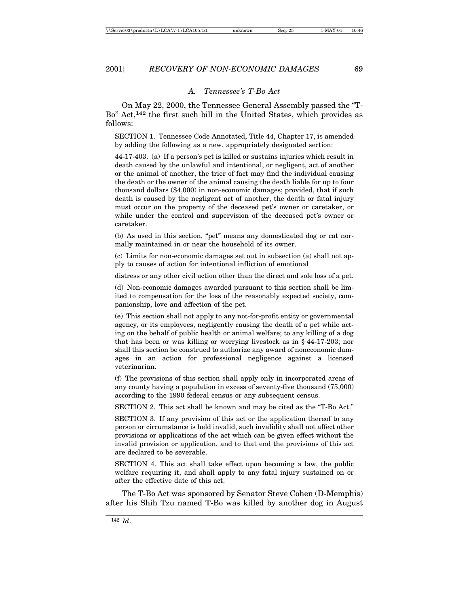#### *A. Tennessee's T-Bo Act*

On May 22, 2000, the Tennessee General Assembly passed the "T-Bo" Act,142 the first such bill in the United States, which provides as follows:

SECTION 1. Tennessee Code Annotated, Title 44, Chapter 17, is amended by adding the following as a new, appropriately designated section:

44-17-403. (a) If a person's pet is killed or sustains injuries which result in death caused by the unlawful and intentional, or negligent, act of another or the animal of another, the trier of fact may find the individual causing the death or the owner of the animal causing the death liable for up to four thousand dollars (\$4,000) in non-economic damages; provided, that if such death is caused by the negligent act of another, the death or fatal injury must occur on the property of the deceased pet's owner or caretaker, or while under the control and supervision of the deceased pet's owner or caretaker.

(b) As used in this section, "pet" means any domesticated dog or cat normally maintained in or near the household of its owner.

(c) Limits for non-economic damages set out in subsection (a) shall not apply to causes of action for intentional infliction of emotional

distress or any other civil action other than the direct and sole loss of a pet.

(d) Non-economic damages awarded pursuant to this section shall be limited to compensation for the loss of the reasonably expected society, companionship, love and affection of the pet.

(e) This section shall not apply to any not-for-profit entity or governmental agency, or its employees, negligently causing the death of a pet while acting on the behalf of public health or animal welfare; to any killing of a dog that has been or was killing or worrying livestock as in § 44-17-203; nor shall this section be construed to authorize any award of noneconomic damages in an action for professional negligence against a licensed veterinarian.

(f) The provisions of this section shall apply only in incorporated areas of any county having a population in excess of seventy-five thousand (75,000) according to the 1990 federal census or any subsequent census.

SECTION 2. This act shall be known and may be cited as the "T-Bo Act."

SECTION 3. If any provision of this act or the application thereof to any person or circumstance is held invalid, such invalidity shall not affect other provisions or applications of the act which can be given effect without the invalid provision or application, and to that end the provisions of this act are declared to be severable.

SECTION 4. This act shall take effect upon becoming a law, the public welfare requiring it, and shall apply to any fatal injury sustained on or after the effective date of this act.

The T-Bo Act was sponsored by Senator Steve Cohen (D-Memphis) after his Shih Tzu named T-Bo was killed by another dog in August

<sup>142</sup> *Id*.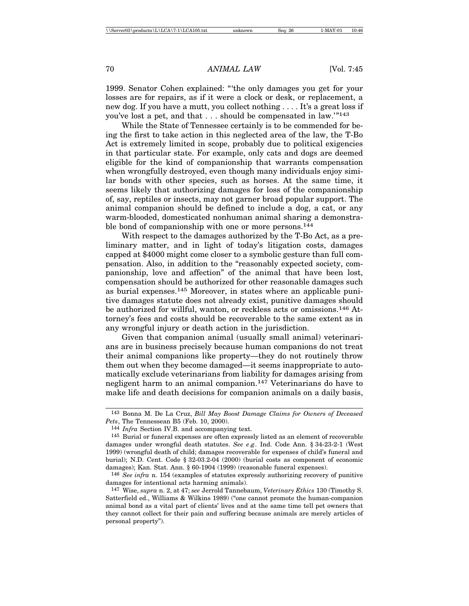1999. Senator Cohen explained: "'the only damages you get for your losses are for repairs, as if it were a clock or desk, or replacement, a new dog. If you have a mutt, you collect nothing . . . . It's a great loss if you've lost a pet, and that . . . should be compensated in law.'"<sup>143</sup>

While the State of Tennessee certainly is to be commended for being the first to take action in this neglected area of the law, the T-Bo Act is extremely limited in scope, probably due to political exigencies in that particular state. For example, only cats and dogs are deemed eligible for the kind of companionship that warrants compensation when wrongfully destroyed, even though many individuals enjoy similar bonds with other species, such as horses. At the same time, it seems likely that authorizing damages for loss of the companionship of, say, reptiles or insects, may not garner broad popular support. The animal companion should be defined to include a dog, a cat, or any warm-blooded, domesticated nonhuman animal sharing a demonstrable bond of companionship with one or more persons.<sup>144</sup>

With respect to the damages authorized by the T-Bo Act, as a preliminary matter, and in light of today's litigation costs, damages capped at \$4000 might come closer to a symbolic gesture than full compensation. Also, in addition to the "reasonably expected society, companionship, love and affection" of the animal that have been lost, compensation should be authorized for other reasonable damages such as burial expenses.145 Moreover, in states where an applicable punitive damages statute does not already exist, punitive damages should be authorized for willful, wanton, or reckless acts or omissions.146 Attorney's fees and costs should be recoverable to the same extent as in any wrongful injury or death action in the jurisdiction.

Given that companion animal (usually small animal) veterinarians are in business precisely because human companions do not treat their animal companions like property—they do not routinely throw them out when they become damaged—it seems inappropriate to automatically exclude veterinarians from liability for damages arising from negligent harm to an animal companion.147 Veterinarians do have to make life and death decisions for companion animals on a daily basis,

<sup>143</sup> Bonna M. De La Cruz, *Bill May Boost Damage Claims for Owners of Deceased Pets*, The Tennessean B5 (Feb. 10, 2000).

<sup>144</sup> *Infra* Section IV.B. and accompanying text.

<sup>145</sup> Burial or funeral expenses are often expressly listed as an element of recoverable damages under wrongful death statutes. *See e.g.* Ind. Code Ann. § 34-23-2-1 (West 1999) (wrongful death of child; damages recoverable for expenses of child's funeral and burial); N.D. Cent. Code § 32-03.2-04 (2000) (burial costs as component of economic damages); Kan. Stat. Ann. § 60-1904 (1999) (reasonable funeral expenses).

<sup>146</sup> *See infra* n. 154 (examples of statutes expressly authorizing recovery of punitive damages for intentional acts harming animals).

<sup>147</sup> Wise, *supra* n. 2, at 47; *see* Jerrold Tannebaum, *Veterinary Ethics* 130 (Timothy S. Satterfield ed., Williams & Wilkins 1989) ("one cannot promote the human-companion animal bond as a vital part of clients' lives and at the same time tell pet owners that they cannot collect for their pain and suffering because animals are merely articles of personal property").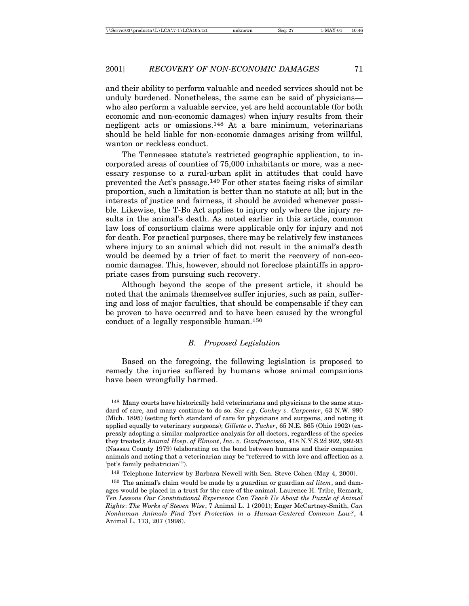and their ability to perform valuable and needed services should not be unduly burdened. Nonetheless, the same can be said of physicians who also perform a valuable service, yet are held accountable (for both economic and non-economic damages) when injury results from their negligent acts or omissions.148 At a bare minimum, veterinarians should be held liable for non-economic damages arising from willful, wanton or reckless conduct.

The Tennessee statute's restricted geographic application, to incorporated areas of counties of 75,000 inhabitants or more, was a necessary response to a rural-urban split in attitudes that could have prevented the Act's passage.149 For other states facing risks of similar proportion, such a limitation is better than no statute at all; but in the interests of justice and fairness, it should be avoided whenever possible. Likewise, the T-Bo Act applies to injury only where the injury results in the animal's death. As noted earlier in this article, common law loss of consortium claims were applicable only for injury and not for death. For practical purposes, there may be relatively few instances where injury to an animal which did not result in the animal's death would be deemed by a trier of fact to merit the recovery of non-economic damages. This, however, should not foreclose plaintiffs in appropriate cases from pursuing such recovery.

Although beyond the scope of the present article, it should be noted that the animals themselves suffer injuries, such as pain, suffering and loss of major faculties, that should be compensable if they can be proven to have occurred and to have been caused by the wrongful conduct of a legally responsible human.150

#### *B. Proposed Legislation*

Based on the foregoing, the following legislation is proposed to remedy the injuries suffered by humans whose animal companions have been wrongfully harmed.

<sup>148</sup> Many courts have historically held veterinarians and physicians to the same standard of care, and many continue to do so. *See e*.*g*. *Conkey v*. *Carpenter*, 63 N.W. 990 (Mich. 1895) (setting forth standard of care for physicians and surgeons, and noting it applied equally to veterinary surgeons); *Gillette v*. *Tucker*, 65 N.E. 865 (Ohio 1902) (expressly adopting a similar malpractice analysis for all doctors, regardless of the species they treated); *Animal Hosp*. *of Elmont*, *Inc*. *v*. *Gianfrancisco*, 418 N.Y.S.2d 992, 992-93 (Nassau County 1979) (elaborating on the bond between humans and their companion animals and noting that a veterinarian may be "referred to with love and affection as a 'pet's family pediatrician'").

<sup>149</sup> Telephone Interview by Barbara Newell with Sen. Steve Cohen (May 4, 2000).

<sup>150</sup> The animal's claim would be made by a guardian or guardian *ad litem*, and damages would be placed in a trust for the care of the animal. Laurence H. Tribe, Remark, *Ten Lessons Our Constitutional Experience Can Teach Us About the Puzzle of Animal Rights*: *The Works of Steven Wise*, 7 Animal L. 1 (2001); Enger McCartney-Smith, *Can Nonhuman Animals Find Tort Protection in a Human-Centered Common Law?*, 4 Animal L. 173, 207 (1998).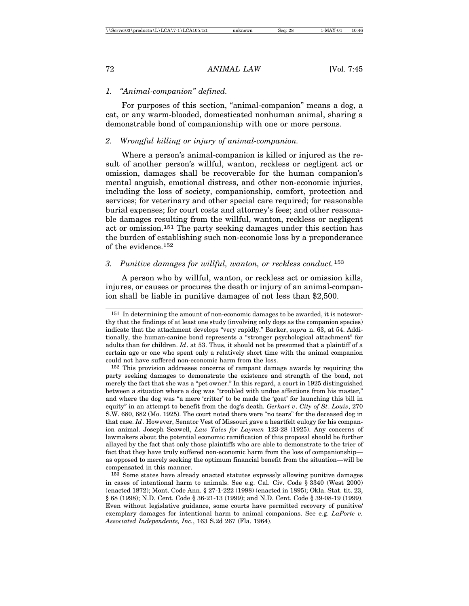#### *1. "Animal-companion" defined.*

For purposes of this section, "animal-companion" means a dog, a cat, or any warm-blooded, domesticated nonhuman animal, sharing a demonstrable bond of companionship with one or more persons.

#### *2. Wrongful killing or injury of animal-companion.*

Where a person's animal-companion is killed or injured as the result of another person's willful, wanton, reckless or negligent act or omission, damages shall be recoverable for the human companion's mental anguish, emotional distress, and other non-economic injuries, including the loss of society, companionship, comfort, protection and services; for veterinary and other special care required; for reasonable burial expenses; for court costs and attorney's fees; and other reasonable damages resulting from the willful, wanton, reckless or negligent act or omission.151 The party seeking damages under this section has the burden of establishing such non-economic loss by a preponderance of the evidence.152

# *3. Punitive damages for willful, wanton, or reckless conduct.*<sup>153</sup>

A person who by willful, wanton, or reckless act or omission kills, injures, or causes or procures the death or injury of an animal-companion shall be liable in punitive damages of not less than \$2,500.

<sup>151</sup> In determining the amount of non-economic damages to be awarded, it is noteworthy that the findings of at least one study (involving only dogs as the companion species) indicate that the attachment develops "very rapidly." Barker, *supra* n. 63, at 54. Additionally, the human-canine bond represents a "stronger psychological attachment" for adults than for children. *Id*. at 53. Thus, it should not be presumed that a plaintiff of a certain age or one who spent only a relatively short time with the animal companion could not have suffered non-economic harm from the loss.

<sup>152</sup> This provision addresses concerns of rampant damage awards by requiring the party seeking damages to demonstrate the existence and strength of the bond, not merely the fact that she was a "pet owner." In this regard, a court in 1925 distinguished between a situation where a dog was "troubled with undue affections from his master," and where the dog was "a mere 'critter' to be made the 'goat' for launching this bill in equity" in an attempt to benefit from the dog's death. *Gerhart v*. *City of St*. *Louis*, 270 S.W. 680, 682 (Mo. 1925). The court noted there were "no tears" for the deceased dog in that case. *Id*. However, Senator Vest of Missouri gave a heartfelt eulogy for his companion animal. Joseph Seawell, *Law Tales for Laymen* 123-28 (1925). Any concerns of lawmakers about the potential economic ramification of this proposal should be further allayed by the fact that only those plaintiffs who are able to demonstrate to the trier of fact that they have truly suffered non-economic harm from the loss of companionship as opposed to merely seeking the optimum financial benefit from the situation—will be compensated in this manner.

<sup>153</sup> Some states have already enacted statutes expressly allowing punitive damages in cases of intentional harm to animals. See e.g. Cal. Civ. Code § 3340 (West 2000) (enacted 1872); Mont. Code Ann. § 27-1-222 (1998) (enacted in 1895); Okla. Stat. tit. 23, § 68 (1998); N.D. Cent. Code § 36-21-13 (1999); and N.D. Cent. Code § 39-08-19 (1999). Even without legislative guidance, some courts have permitted recovery of punitive/ exemplary damages for intentional harm to animal companions. See e.g. *LaPorte v. Associated Independents, Inc.*, 163 S.2d 267 (Fla. 1964).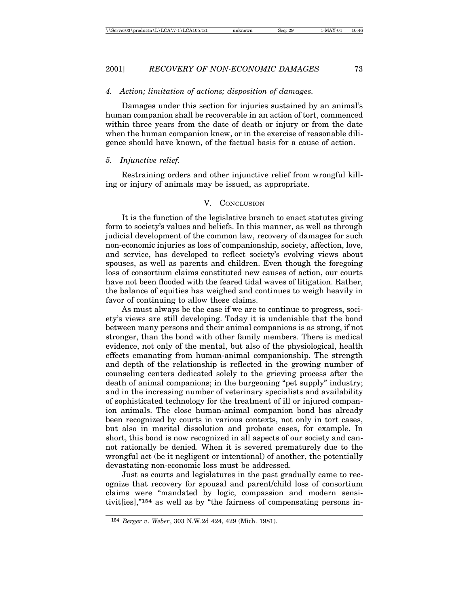#### *4. Action; limitation of actions; disposition of damages.*

Damages under this section for injuries sustained by an animal's human companion shall be recoverable in an action of tort, commenced within three years from the date of death or injury or from the date when the human companion knew, or in the exercise of reasonable diligence should have known, of the factual basis for a cause of action.

#### *5. Injunctive relief.*

Restraining orders and other injunctive relief from wrongful killing or injury of animals may be issued, as appropriate.

#### V. CONCLUSION

It is the function of the legislative branch to enact statutes giving form to society's values and beliefs. In this manner, as well as through judicial development of the common law, recovery of damages for such non-economic injuries as loss of companionship, society, affection, love, and service, has developed to reflect society's evolving views about spouses, as well as parents and children. Even though the foregoing loss of consortium claims constituted new causes of action, our courts have not been flooded with the feared tidal waves of litigation. Rather, the balance of equities has weighed and continues to weigh heavily in favor of continuing to allow these claims.

As must always be the case if we are to continue to progress, society's views are still developing. Today it is undeniable that the bond between many persons and their animal companions is as strong, if not stronger, than the bond with other family members. There is medical evidence, not only of the mental, but also of the physiological, health effects emanating from human-animal companionship. The strength and depth of the relationship is reflected in the growing number of counseling centers dedicated solely to the grieving process after the death of animal companions; in the burgeoning "pet supply" industry; and in the increasing number of veterinary specialists and availability of sophisticated technology for the treatment of ill or injured companion animals. The close human-animal companion bond has already been recognized by courts in various contexts, not only in tort cases, but also in marital dissolution and probate cases, for example. In short, this bond is now recognized in all aspects of our society and cannot rationally be denied. When it is severed prematurely due to the wrongful act (be it negligent or intentional) of another, the potentially devastating non-economic loss must be addressed.

Just as courts and legislatures in the past gradually came to recognize that recovery for spousal and parent/child loss of consortium claims were "mandated by logic, compassion and modern sensitivit[ies],"154 as well as by "the fairness of compensating persons in-

<sup>154</sup> *Berger v*. *Weber*, 303 N.W.2d 424, 429 (Mich. 1981).